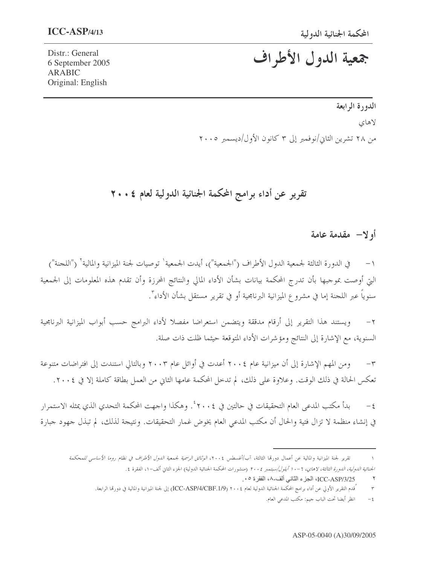# جمعية الدول الأطراف

Distr.: General 6 September 2005 **ARABIC** Original: English

## الدورة الرابعة لاهای من ٢٨ تشرين الثاني/نوفمبر إلى ٣ كانون الأول/ديسمبر ٢٠٠٥

تقرير عن أداء برامج المحكمة الجنائية الدولية لعام ٢٠٠٤

#### أولا— مقدمة عامة

في الدورة الثالثة لجمعية الدول الأطراف ("الجمعية")، أيدت الجمعية` توصيات لجنة الميزانية والمالية` ("اللجنة") التي أوصت بموجبها بأن تدرج المحكمة بيانات بشأن الأداء المالي والنتائج المحرزة وأن تقدم هذه المعلومات إلى الجمعية سنويا عبر اللحنة إما في مشروع الميزانية البرنامجية أو في تقرير مستقل بشأن الأداء".

ويستند هذا التقرير إلى أرقام مدققة ويتضمن استعراضا مفصلا لأداء البرامج حسب أبواب الميزانية البرنامجية  $-\tau$ السنوية، مع الإشارة إلى النتائج ومؤشرات الأداء المتوقعة حيثما ظلت ذات صلة.

ومن المهم الإشارة إلى أن ميزانية عام ٢٠٠٤ أعدت في أوائل عام ٢٠٠٣ وبالتالي استندت إلى افتراضات متنوعة  $-\tau$ تعكس الحالة في ذلك الوقت. وعلاوة على ذلك، لم تدخل المحكمة عامها الثاني من العمل بطاقة كاملة إلا في ٢٠٠٤.

بدأ مكتب المدعى العام التحقيقات في حالتين في ٢٠٠٤ ْ. وهكذا واجهت المحكمة التحدي الذي يمثله الاستمرار  $-\xi$ في إنشاء منظمة لا تزال فتية والحال أن مكتب المدعى العام يخوض غمار التحقيقات. ونتيجة لذلك، لم تبذل جهود جبارة

تقرير لجنة الميزانية والمالية عن أعمال دورقما الثالثة، آب/أغسطس ٢٠٠٤، *الوثائق الرسمية لجمعية الدول الأطراف في نظام روما الأساسي للم*حكمة الجن*ائية الدولية، الدورة الثالثة، لاهاي، ٦-١ أبلول/سبتمبر ٢٠٠٤* (منشورات المحكمة الجنائية الدولية، الجزء الثاني ألف-١، الفقرة ٤.

انظر أيضا تحت الباب جيم: مكتب المدعى العام.  $\xi$ 

ICC-ASP/3/25، الجزء الثاني ألف-٨، الفقرة ٠٥.  $\mathbf{r}$ 

<sup>ُ</sup>قدم التقرير الأولي عن أداء برامج المحكمة الجنائية الدولية لعام ٢٠٠٤ (ICC-ASP/4/CBF.1/9) إلى لجنة الميزانية والمالية في دورقما الرابعة.  $\mathbf{\breve{\Upsilon}}$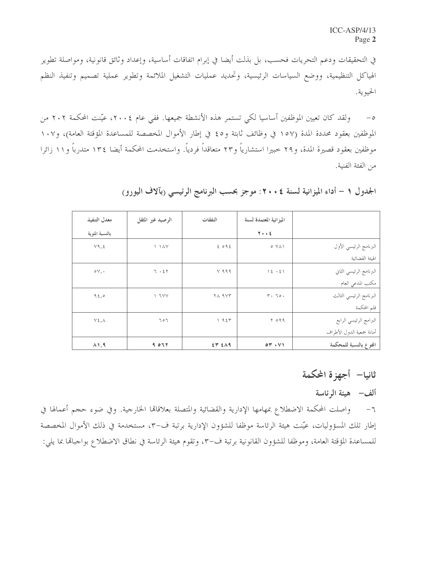في التحقيقات ودعم التحريات فحسب، بل بذلت أيضا في إبرام اتفاقات أساسية، وإعداد وثائق قانونية، ومواصلة تطوير الهياكل التنظيمية، ووضع السياسات الرئيسية، وتحديد عمليات التشغيل الملائمة وتطوير عملية تصميم وتنفيذ النظم الحيوية.

ولقد كان تعيين الموظفين أساسيا لكي تستمر هذه الأنشطة جميعها. ففي عام ٢٠٠٤، عيّنت المحكمة ٢٠٢ من  $-\circ$ الموظفين بعقود محددة المدة (١٥٧ في وظائف ثابتة و٤٥ في إطار الأموال المخصصة للمساعدة المؤقتة العامة)، و١٠٧ موظفين بعقود قصيرة المدة، و٢٩ خبيرا استشارياً و٢٣ متعاقداً فردياً. واستخدمت المحكمة أيضا ١٣٤ متدرباً و١١ زائرا من الفئة الفنية.

|                           | الميزانية المعتمدة لسنة | النفقات | الرصيد غير المثقل             | معدل التنفيذ     |
|---------------------------|-------------------------|---------|-------------------------------|------------------|
|                           | $Y \cdot Y$             |         |                               | بالنسبة المئوية  |
| البرنامج الرئيسي الأول    | $0 Y \wedge Y$          | 2092    | $\lambda$ $\lambda$ $\lambda$ | Y9, 5            |
| الهبئة القضائية           |                         |         |                               |                  |
| البرنامج الرئيسي الثاني   | 12.51                   | $Y$ 999 | 7.57                          | $\circ \vee$ , . |
| مكتب المدعى العام         |                         |         |                               |                  |
| البرنامج الرئيسي الثالث   | $Y \cdot 70.$           | YA 9VT  | Y Y Y                         | 95,0             |
| قلم المحكمة               |                         |         |                               |                  |
| البرامج الرئيسي الرابع    | 5099                    | 1955    | 707                           | $Y \xi, \Lambda$ |
| أمانة جمعية الدول الأطراف |                         |         |                               |                  |
| المجوع بالنسبة للمحكمة    | 04.41                   | ET EAG  | ۲۳ ۹ ب                        | $\lambda$ 1, 9   |

الجدول ١ – أداء الميزانية لسنة ٤ . ٢٠ : موجز بحسب البرنامج الرئيسي (بآلاف اليورو)

#### ثانيا— أجهزة المكمة

#### ألف– هيئة الرئاسة

٦– واصلت المحكمة الاضطلاع بمهامها الإدارية والقضائية والمتصلة بعلاقاقما الخارجية. وفي ضوء حجم أعمالها في إطار تلك المسؤوليات، عيّنت هيئة الرئاسة موظفا للشؤون الإدارية برتبة ف-٣، مستخدمة في ذلك الأموال المخصصة للمساعدة المؤقتة العامة، وموظفا للشؤون القانونية برتبة ف-٣، وتقوم هيئة الرئاسة في نطاق الاضطلاع بواجبالها بما يلي: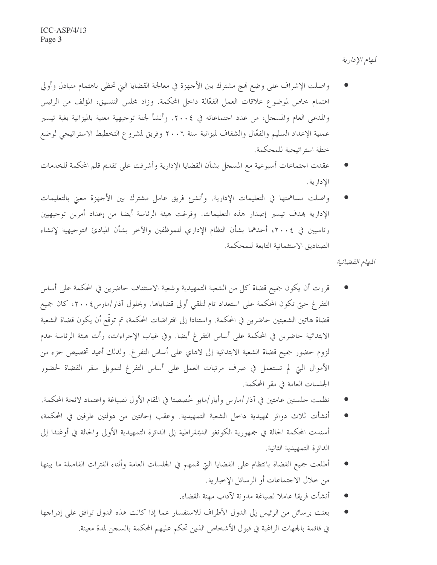لمهام الإدارية

- واصلت الإشراف على وضع لهج مشترك بين الأحهزة في معالجة القضايا التي تحظى باهتمام متبادل وأولى اهتمام حاص لموضوع علاقات العمل الفعّالة داخل المحكمة. وزاد مجلس التنسيق، المؤلف من الرئيس والمدعى العام والمسجل، من عدد احتماعاته في ٢٠٠٤. وأنشأ لجنة توجيهية معنية بالميزانية بغية تيسير عملية الإعداد السليم والفعّال والشفاف لميزانية سنة ٢٠٠٦ وفريق لمشروع التخطيط الاستراتيجي لوضع خطة استراتيجية للمحكمة.
- عقدت احتماعات أسبوعية مع المسحل بشأن القضايا الإدارية وأشرفت على تقديم قلم المحكمة للخدمات الادارية.
- واصلت مساهمتها في التعليمات الإدارية. وأنشئ فريق عامل مشترك بين الأجهزة معنى بالتعليمات الإدارية بهدف تيسير إصدار هذه التعليمات. وفرغت هيئة الرئاسة أيضا من إعداد أمرين توجيهيين رئاسيين في ٢٠٠٤، أحدهما بشأن النظام الإداري للموظفين والآخر بشأن المبادئ التوجيهية لإنشاء الصناديق الاستئمانية التابعة للمحكمة.

المهام القضائية

- قررت أن يكون جميع قضاة كل من الشعبة التمهيدية وشعبة الاستئناف حاضرين في المحكمة على أساس التفرغ حتى تكون المحكمة على استعداد تام لتلقى أولى قضاياها. وبحلول آذار/مارس٤ ٢٠٠٤، كان جميع قضاة هاتين الشعبتين حاضرين في المحكمة. واستنادا إلى افتراضات المحكمة، تم توقَّع أن يكون قضاة الشعبة الابتدائية حاضرين في المحكمة على أساس التفرغ أيضا. وفي غياب الإجراءات، رأت هيئة الرئاسة عدم لزوم حضور جميع قضاة الشعبة الابتدائية إلى لاهاي على أساس التفرغ. ولذلك أعيد تخصيص جزء من الأموال التي لم تستعمل في صرف مرتبات العمل على أساس التفرغ لتمويل سفر القضاة لحضور الجلسات العامة في مقر المحكمة.
- نظمت جلستين عامتين في آذار /مارس وأيار /مايو خُصصتا في المقام الأول لصياغة واعتماد لائحة المحكمة.
- أنشأت ثلاث دوائر تمهيدية داخل الشعبة التمهيدية. وعقب إحالتين من دولتين طرفين في المحكمة، أسندت المحكمة الحالة في جمهورية الكونغو الديمقراطية إلى الدائرة التمهيدية الأولى والحالة في أوغندا إلى الدائرة التمهيدية الثانية.
- أطلعت جميع القضاة بانتظام على القضايا التي قممهم في الجلسات العامة وأثناء الفترات الفاصلة ما بينها من خلال الاجتماعات أو الرسائل الإخبارية.
	- أنشأت فريقا عاملا لصياغة مدونة لآداب مهنة القضاء.
- بعثت برسائل من الرئيس إلى الدول الأطراف للاستفسار عما إذا كانت هذه الدول توافق على إدراجها في قائمة بالجهات الراغبة في قبول الأشخاص الذين تحكم عليهم المحكمة بالسجن لمدة معينة.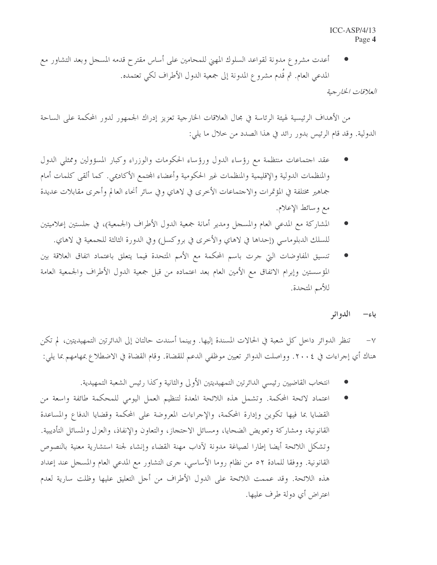أعدت مشروع مدونة لقواعد السلوك المهني للمحامين على أساس مقترح قدمه المسجل وبعد التشاور مع المدعى العام. ثم قَدم مشروع المدونة إلى جمعية الدول الأطراف لكي تعتمده.

العلاقات الخارجية

من الأهداف الرئيسية لهيئة الرئاسة في مجال العلاقات الخارجية تعزيز إدراك الجمهور لدور المحكمة على الساحة الدولية. وقد قام الرئيس بدور رائد في هذا الصدد من حلال ما يلي:

- عقد احتماعات منتظمة مع رؤساء الدول ورؤساء الحكومات والوزراء وكبار المسؤولين وممثلي الدول والمنظمات الدولية والإقليمية والمنظمات غير الحكومية وأعضاء المحتمع الأكاديمي. كما ألقى كلمات أمام جماهير مختلفة في المؤتمرات والاجتماعات الأخرى في لاهاي وفي سائر أنحاء العالم وأجرى مقابلات عديدة مع وسائط الإعلام.
- المشاركة مع المدعى العام والمسجل ومدير أمانة جمعية الدول الأطراف (الجمعية)، في حلستين إعلاميتين للسلك الدبلوماسي (إحداها في لاهاي والأخرى في بروكسل) وفي الدورة الثالثة للجمعية في لاهاي.
- تنسيق المفاوضات التي جرت باسم المحكمة مع الأمم المتحدة فيما يتعلق باعتماد اتفاق العلاقة بين المؤسستين وإبرام الاتفاق مع الأمين العام بعد اعتماده من قبل جمعية الدول الأطراف والجمعية العامة للأمم المتحدة.

#### الدو ائر باء–

تنظر الدوائر داخل كل شعبة في الحالات المسندة إليها. وبينما أسندت حالتان إلى الدائرتين التمهيديتين، لم تكن  $-\vee$ هناك أي إجراءات في ٢٠٠٤. وواصلت الدوائر تعيين موظفي الدعم للقضاة. وقام القضاة في الاضطلاع بمهامهم بما يلي:

- انتخاب القاضيين رئيسي الدائرتين التمهيديتين الأولى والثانية وكذا رئيس الشعبة التمهيدية.
- اعتماد لائحة المحكمة. وتشمل هذه اللائحة المعدة لتنظيم العمل اليومي للمحكمة طائفة واسعة من القضايا بما فيها تكوين وإدارة المحكمة، والإجراءات المعروضة على المحكمة وقضايا الدفاع والمساعدة القانونية، ومشاركة وتعويض الضحايا، ومسائل الاحتجاز، والتعاون والإنفاذ، والعزل والمسائل التأديبية. وتشكل اللائحة أيضا إطارا لصياغة مدونة لآداب مهنة القضاء وإنشاء لجنة استشارية معنية بالنصوص القانونية. ووفقًا للمادة ٥٢ من نظام روما الأساسي، حرى التشاور مع المدعى العام والمسجل عند إعداد هذه اللائحة. وقد عممت اللائحة على الدول الأطراف من أجل التعليق عليها وظلت سارية لعدم اعتراض أي دولة طرف عليها.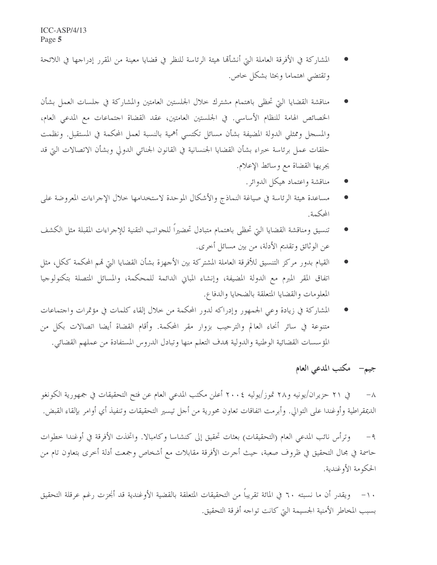- المشاركة في الأفرقة العاملة التي أنشأهما هيئة الرئاسة للنظر في قضايا معينة من المقرر إدراجها في اللائحة وتقتضي اهتماما وبحثا بشكل حاص.
- مناقشة القضايا التي تحظى باهتمام مشترك حلال الجلستين العامتين والمشاركة في حلسات العمل بشأن الخصائص الهامة للنظام الأساسي. في الجلستين العامتين، عقد القضاة احتماعات مع المدعى العام، والمسجل وممثلي الدولة المضيفة بشأن مسائل تكتسى أهمية بالنسبة لعمل المحكمة في المستقبل. ونظمت حلقات عمل برئاسة خبراء بشأن القضايا الجنسانية في القانون الجنائبي الدولي وبشأن الاتصالات التي قد يجريها القضاة مع وسائط الإعلام.
	- مناقشة واعتماد هيكل الدوائر.
- مساعدة هيئة الرئاسة في صياغة النماذج والأشكال الموحدة لاستخدامها خلال الإجراءات المعروضة على المحكمة.
- تنسيق ومناقشة القضايا التي تحظى باهتمام متبادل تحضيراً للجوانب التقنية للإجراءات المقبلة مثل الكشف عن الوثائق وتقديم الأدلة، من بين مسائل أخرى.
- القيام بدور مركز التنسيق للأفرقة العاملة المشتركة بين الأجهزة بشأن القضايا التي قمم المحكمة ككل، مثل  $\bullet$ اتفاق المقر المبرم مع الدولة المضيفة، وإنشاء المباني الدائمة للمحكمة، والمسائل المتصلة بتكنولوجيا المعلومات والقضايا المتعلقة بالضحايا والدفاع.
- المشاركة في زيادة وعي الجمهور وإدراكه لدور المحكمة من خلال إلقاء كلمات في مؤتمرات واحتماعات متنوعة في سائر أنحاء العالم والترحيب بزوار مقر المحكمة. وأقام القضاة أيضا اتصالات بكل من المؤسسات القضائية الوطنية والدولية بمدف التعلم منها وتبادل الدروس المستفادة من عملهم القضائي.

### جيم- مكتب المدعى العام

في ٢١ حزيران/يونيه و٢٨ تموز/يوليه ٢٠٠٤ أعلن مكتب المدعى العام عن فتح التحقيقات في جمهورية الكونغو  $-\lambda$ الديمقراطية وأوغندا على التوالي. وأبرمت اتفاقات تعاون محورية من أحل تيسير التحقيقات وتنفيذ أي أوامر بإلقاء القبض.

وترأس نائب المدعى العام (التحقيقات) بعثات تحقيق إلى كنشاسا وكامبالا. واتخذت الأفرقة في أوغندا خطوات  $-9$ حاسمة في مجال التحقيق في ظروف صعبة، حيث أجرت الأفرقة مقابلات مع أشخاص وجمعت أدلة أخرى بتعاون تام من الحكومة الأوغندية.

١٠– ويقدر أن ما نسبته ٦٠ في المائة تقريباً من التحقيقات المتعلقة بالقضية الأوغندية قد أنجزت رغم عرقلة التحقيق بسبب المخاطر الأمنية الجسيمة التي كانت تواجه أفرقة التحقيق.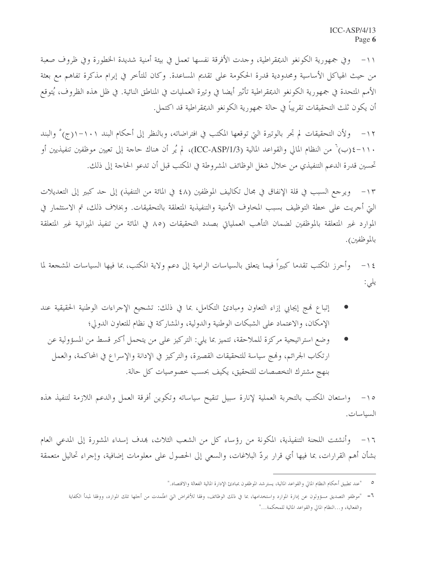١١- وفي جمهورية الكونغو الديمقراطية، وجدت الأفرقة نفسها تعمل في بيئة أمنية شديدة الخطورة وفي ظروف صعبة من حيث الهياكل الأساسية ومحدودية قدرة الحكومة على تقديم المساعدة. وكان للتأخر في إبرام مذكرة تفاهم مع بعثة الأمم المتحدة في جمهورية الكونغو الديمقراطية تأثير أيضا في وتيرة العمليات في المناطق النائية. في ظل هذه الظروف، يُتوقع أن يكون ثلث التحقيقات تقريباً في حالة جمهورية الكونغو الديمقراطية قد اكتمل.

١٢ – ولأن التحقيقات لم تجر بالوتيرة التي توقعها المكتب في افتراضاته، وبالنظر إلى أحكام البند ١٠١–١(ج)° والبند ١١٠-٤(ب) من النظام المالي والقواعد المالية (ICC-ASP/1/3)، لم يُر أن هناك حاجة إلى تعيين موظفين تنفيذيين أو تحسين قدرة الدعم التنفيذي من حلال شغل الوظائف المشروطة في المكتب قبل أن تدعو الحاجة إلى ذلك.

١٣– ويرجع السبب في قلة الإنفاق في مجال تكاليف الموظفين (٤٨ في المائة من التنفيذ) إلى حد كبير إلى التعديلات التي أحريت على حطة التوظيف بسبب المخاوف الأمنية والتنفيذية المتعلقة بالتحقيقات. وبخلاف ذلك، تم الاستثمار في الموارد غير المتعلقة بالموظفين لضمان التأهب العملياتي بصدد التحقيقات (٨٥ في المائة من تنفيذ الميزانية غير المتعلقة بالموظفين).

وأحرز المكتب تقدما كبيراً فيما يتعلق بالسياسات الرامية إلى دعم ولاية المكتب، بما فيها السياسات المشجعة لما  $-15$ يلى:

- إتباع فمج إيجابي إزاء التعاون ومبادئ التكامل، بما في ذلك: تشجيع الإجراءات الوطنية الحقيقية عند الإمكان، والاعتماد على الشبكات الوطنية والدولية، والمشاركة في نظام للتعاون الدولي؛
	- وضع استراتيجية مركزة للملاحقة، تتميز بما يلي: التركيز على من يتحمل أكبر قسط من المسؤولية عن ارتكاب الجرائم، وفمج سياسة للتحقيقات القصيرة، والتركيز في الإدانة والإسراع في المحاكمة، والعمل بنهج مشترك التخصصات للتحقيق، يكيف بحسب خصوصيات كل حالة.

١٥– واستعان المكتب بالتحربة العملية لإنارة سبيل تنقيح سياساته وتكوين أفرقة العمل والدعم اللازمة لتنفيذ هذه السياسات.

١٦– وأنشئت اللجنة التنفيذية، المكونة من رؤساء كل من الشعب الثلاث، بمدف إسداء المشورة إلى المدعى العام بشأن أهم القرارات، بما فيها أي قرار بردّ البلاغات، والسعي إلى الحصول على معلومات إضافية، وإجراء تحاليل متعمقة

<sup>&</sup>quot;عند تطبيق أحكام النظام المالي والقواعد المالية، يسترشد الموظفون بمبادئ الإدارة المالية الفعالة والاقتصاد."

٦– "موظفو التصديق مسؤولون عن إدارة الموارد واستخدامها، بما في ذلك الوظائف، وفقا للأغراض التي اعتُمدت من أحلها تلك الموارد، ووفقا لمبدأ الكفاية والفعالية، و...النظام المالي والقواعد المالية للمحكمة..."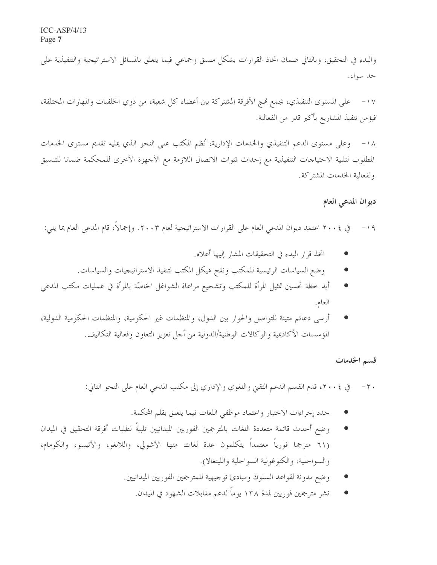والبدء في التحقيق، وبالتالي ضمان اتخاذ القرارات بشكل منسق وجماعي فيما يتعلق بالمسائل الاستراتيجية والتنفيذية على حد سواءِ.

١٧− على المستوى التنفيذي، يجمع نمج الأفرقة المشتركة بين أعضاء كل شعبة، من ذوي الخلفيات والمهارات المختلفة، فيؤمن تنفيذ المشاريع بأكبر قدر من الفعالية.

١٨– وعلى مستوى الدعم التنفيذي والخدمات الإدارية، نُظم المكتب على النحو الذي يمليه تقديم مستوى الخدمات المطلوب لتلبية الاحتياحات التنفيذية مع إحداث قنوات الاتصال اللازمة مع الأجهزة الأخرى للمحكمة ضمانا للتنسيق ولفعالية الخدمات المشتركة.

#### ديوان المدعى العام

١٩ – في ٢٠٠٤ اعتمد ديوان المدعى العام على القرارات الاستراتيجية لعام ٢٠٠٣. وإجمالًا، قام المدعى العام بما يلي:

- اتخذ قرار البدء في التحقيقات المشار إليها أعلاه.
- وضع السياسات الرئيسية للمكتب ونقح هيكل المكتب لتنفيذ الاستراتيجيات والسياسات.
- أيد خطة تحسين تمثيل المرأة للمكتب وتشجيع مراعاة الشواغل الخاصّة بالمرأة في عمليات مكتب المدعى العام.
- أرسى دعائم متينة للتواصل والحوار بين الدول، والمنظمات غير الحكومية، والمنظمات الحكومية الدولية، المؤسسات الأكاديمية والوكالات الوطنية/الدولية من أجل تعزيز التعاون وفعالية التكاليف.

#### قسم الخدمات

#### ٢٠ - في ٢٠٠٤، قدم القسم الدعم التقييّ واللغوي والإداري إلى مكتب المدعى العام على النحو التالي:

- حدد إجراءات الاختيار واعتماد موظفي اللغات فيما يتعلق بقلم المحكمة.
- وضع أحدث قائمة متعددة اللغات بالمترجمين الفوريين الميدانيين تلبيةً لطلبات أفرقة التحقيق في الميدان (٦١ مترجما فورياً معتمداً يتكلمون عدة لغات منها الأشولي، واللانغو، والأتيسو، والكومام، والسواحلية، والكنوغولية السواحلية واللينغالا).
	- وضع مدونة لقواعد السلوك ومبادئ توجيهية للمترجمين الفوريين الميدانيين.
		- نشر مترجمين فوريين لمدة ١٣٨ يوماً لدعم مقابلات الشهود في الميدان.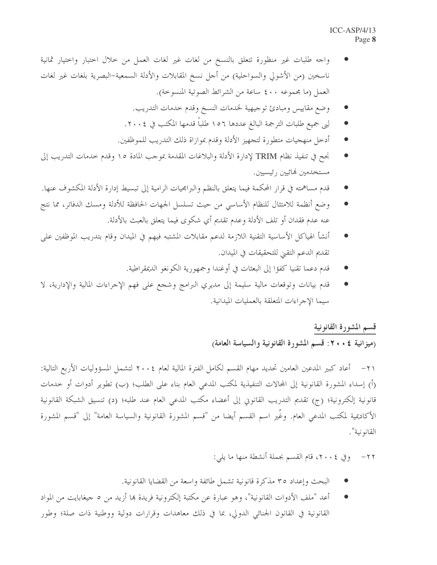- واجه طلبات غير منظورة تتعلق بالنسخ من لغات غير لغات العمل من حلال احتبار واحتيار ثمانية ناسخين (من الأشولي والسواحلية) من أجل نسخ المقابلات والأدلة السمعية-البصرية بلغات غير لغات العمل (ما مجموعه ٤٠٠ ساعة من الشرائط الصوتية المنسوخة).
	- وضع مقاييس ومبادئ توجيهية لخدمات النسخ وقدم حدمات التدريب.
	- لبي جميع طلبات الترجمة البالغ عددها ١٥٦ طلباً قدمها المكتب في ٢٠٠٤.
	- أدخل منهجيات متطورة لتجهيز الأدلة وقدم بموازاة ذلك التدريب للموظفين.
- نجح في تنفيذ نظام TRIM لإدارة الأدلة والبلاغات المقدمة بموجب المادة ١٥ وقدم حدمات التدريب إلى مستخدمين لهائيين رئيسيين.
- قدم مساهمته في قرار المحكمة فيما يتعلق بالنظم والبرامجيات الرامية إلى تبسيط إدارة الأدلة المكشوف عنها.
- وضع أنظمة للامتثال للنظام الأساسي من حيث تسلسل الجهات الحافظة للأدلة ومسك الدفاتر، مما نتج عنه عدم فقدان أو تلف الأدلة وعدم تقديم أي شكوى فيما يتعلق بالعبث بالأدلة.
- أنشأ الهياكل الأساسية التقنية اللازمة لدعم مقابلات المشتبه فيهم في الميدان وقام بتدريب الموظفين على  $\bullet$ تقديم الدعم التقيّ للتحقيقات في الميدان.
	- قدم دعما تقنيا كفؤا إلى البعثات في أوغندا وجمهورية الكونغو الديمقراطية.
- قدم بيانات وتوقعات مالية سليمة إلى مديري البرامج وشجع على فهم الإجراءات المالية والإدارية، لا  $\bullet$ سيما الإجراءات المتعلقة بالعمليات الميدانية.

#### قسم المشورة القانونية

(ميزانية ٤ • ٢٠: قسم المشورة القانونية والسياسة العامة)

٢١ – أعاد كبير المدعين العامين تحديد مهام القسم لكامل الفترة المالية لعام ٢٠٠٤ لتشمل المسؤوليات الأربع التالية: (أ) إسداء المشورة القانونية إلى المحالات التنفيذية لمكتب المدعى العام بناء على الطلب؛ (ب) تطوير أدوات أو حدمات قانونية إلكترونية؛ (ج) تقديم التدريب القانوين إلى أعضاء مكتب المدعى العام عند طلبه؛ (د) تنسيق الشبكة القانونية الأكاديمية لمكتب المدعى العام. وغُير اسم القسم أيضا من "قسم المشورة القانونية والسياسة العامة" إلى "قسم المشورة القانو نية".

٢٢– وفي ٢٠٠٤، قام القسم بجملة أنشطة منها ما يلي:

- البحث وإعداد ٣٥ مذكرة قانونية تشمل طائفة واسعة من القضايا القانونية.
- أعد "ملف الأدوات القانونية"، وهو عبارة عن مكتبة إلكترونية فريدة بما أزيد من ٥ جيغابايت من المواد القانونية في القانون الجنائي الدولي، بما في ذلك معاهدات وقرارات دولية ووطنية ذات صلة؛ وطور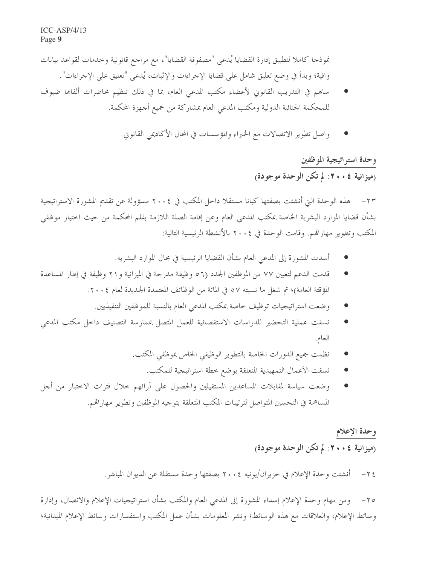نموذجا كاملا لتطبيق إدارة القضايا يُدعى "مصفوفة القضايا"، مع مراجع قانونية وخدمات لقواعد بيانات وافية؛ وبدأ في وضع تعليق شامل على قضايا الإحراءات والإثبات، يُدعى "تعليق على الإحراءات".

- ساهم في التدريب القانوني لأعضاء مكتب المدعى العام، بما في ذلك تنظيم محاضرات ألقاها ضيوف للمحكمة الجنائية الدولية ومكتب المدعى العام بمشاركة من جميع أجهزة المحكمة.
	- واصل تطوير الاتصالات مع الخبراء والمؤسسات في المحال الأكاديمي القانوين.

## وحدة استراتيجية الموظفين (ميزانية ٤ • ٢٠: لم تكن الوحدة موجودة)

٢٣ – هذه الوحدة التي أنشئت بصفتها كيانا مستقلا داخل المكتب في ٢٠٠٤ مسؤولة عن تقديم المشورة الاستراتيجية بشأن قضايا الموارد البشرية الخاصة بمكتب المدعى العام وعن إقامة الصلة اللازمة بقلم المحكمة من حيث اختيار موظفى المكتب وتطوير مهاراقمم. وقامت الوحدة في ٢٠٠٤ بالأنشطة الرئيسية التالية:

- أسدت المشورة إلى المدعى العام بشأن القضايا الرئيسية في مجال الموارد البشرية.
- قدمت الدعم لتعيين ٧٧ من الموظفين الجدد (٥٦ وظيفة مدرجة في الميزانية و٢١ وظيفة في إطار المساعدة المؤقتة العامة)؛ تم شغل ما نسبته ٥٧ في المائة من الوظائف المعتمدة الجديدة لعام ٢٠٠٤.
	- وضعت استراتيجيات توظيف خاصة بمكتب المدعى العام بالنسبة للموظفين التنفيذيين.
- نسقت عملية التحضير للدراسات الاستقصائية للعمل المتصل بممارسة التصنيف داخل مكتب المدعى العام.
	- نظمت جميع الدورات الخاصة بالتطوير الوظيفي الخاص بموظفي المكتب.
		- نسقت الأعمال التمهيدية المتعلقة بوضع خطة استراتيجية للمكتب.
- وضعت سياسة لمقابلات المساعدين المستقيلين والحصول على آرائهم حلال فترات الاختبار من أجل المساهمة في التحسين المتواصل لترتيبات المكتب المتعلقة بتوجيه الموظفين وتطوير مهاراقم.

### وحدة الإعلام (ميزانية ٤ • • ٢ : لم تكن الوحدة موجودة)

٢٥– ومن مهام وحدة الإعلام إسداء المشورة إلى المدعى العام والمكتب بشأن استراتيجيات الإعلام والاتصال، وإدارة وسائط الإعلام، والعلاقات مع هذه الوسائط؛ ونشر المعلومات بشأن عمل المكتب واستفسارات وسائط الإعلام الميدانية؛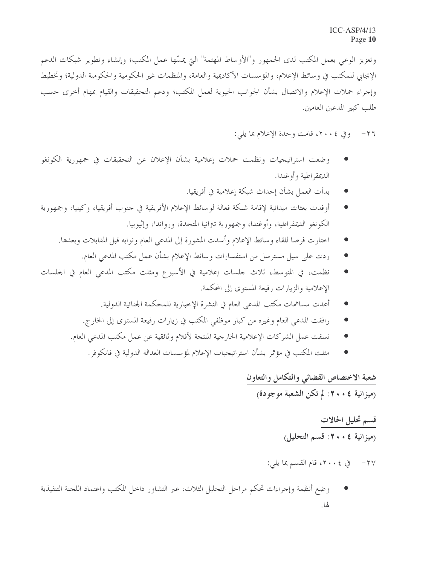وتعزيز الوعي بعمل المكتب لدى الجمهور و"الأوساط المهتمة" التي يمسِّها عمل المكتب؛ وإنشاء وتطوير شبكات الدعم الإيجابي للمكتب في وسائط الإعلام، والمؤسسات الأكاديمية والعامة، والمنظمات غير الحكومية والحكومية الدولية؛ وتخطيط وإجراء حملات الإعلام والاتصال بشأن الجوانب الحيوية لعمل المكتب؛ ودعم التحقيقات والقيام بمهام أخرى حسب طلب كبير المدعين العامين.

٢٦- وفي ٢٠٠٤، قامت وحدة الإعلام بما يلي:

- وضعت استراتيجيات ونظمت حملات إعلامية بشأن الإعلان عن التحقيقات في جمهورية الكونغو الديمقر اطية وأوغندا.
	- بدأت العمل بشأن إحداث شبكة إعلامية في أفريقيا.
- أوفدت بعثات ميدانية لإقامة شبكة فعالة لوسائط الإعلام الأفريقية في جنوب أفريقيا، وكينيا، وجمهورية الكونغو الديمقراطية، وأوغندا، وجمهورية تتزانيا المتحدة، ورواندا، وإثيوبيا.
	- اختارت فرصا للقاء وسائط الإعلام وأسدت المشورة إلى المدعى العام ونوابه قبل المقابلات وبعدها.  $\bullet$ 
		- ردت على سيل مسترسل من استفسارات وسائط الإعلام بشأن عمل مكتب المدعى العام.
- نظمت، في المتوسط، ثلاث حلسات إعلامية في الأسبوع ومثلت مكتب المدعى العام في الجلسات  $\bullet$ الإعلامية والزيارات رفيعة المستوى إلى المحكمة.
	- أعدت مساهمات مكتب المدعى العام في النشرة الإخبارية للمحكمة الجنائية الدولية.
	- رافقت المدعى العام وغيره من كبار موظفى المكتب في زيارات رفيعة المستوى إلى الخارج.
	- نسقت عمل الشركات الإعلامية الخارجية المنتجة لأفلام وثائقية عن عمل مكتب المدعى العام.
		- مثلت المكتب في مؤتمر بشأن استراتيجيات الإعلام لمؤسسات العدالة الدولية في فانكوفر .

## شعبة الاختصاص القضائي والتكامل والتعاون (ميزانية ٤ • ٢٠: لم تكن الشعبة موجودة)

## قسم تحليل الحالات (ميزانية ٤ . ٢٠٢: قسم التحليل)

#### ٢٧ – في ٢٠٠٤، قام القسم بما يلي:

وضع أنظمة وإجراءات تحكم مراحل التحليل الثلاث، عبر التشاور داخل المكتب واعتماد اللجنة التنفيذية لها.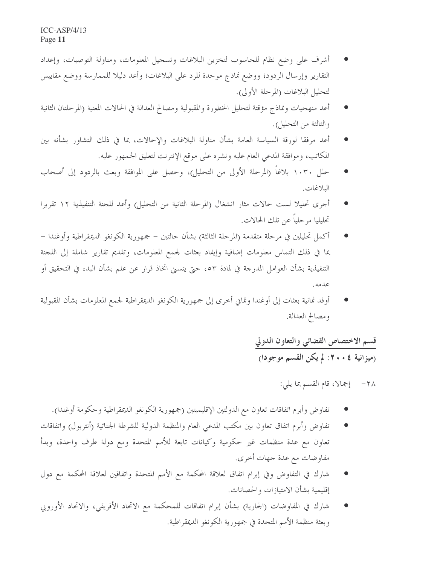- أشرف على وضع نظام للحاسوب لتخزين البلاغات وتسجيل المعلومات، ومناولة التوصيات، وإعداد التقارير وإرسال الردود؛ ووضع نماذج موحدة للرد على البلاغات؛ وأعد دليلا للممارسة ووضع مقاييس لتحليل البلاغات (المرحلة الأولى).
- أعد منهجيات ونماذج مؤقتة لتحليل الخطورة والمقبولية ومصالح العدالة في الحالات المعنية (المرحلتان الثانية والثالثة من التحليل).
- أعد مرفقا لورقة السياسة العامة بشأن مناولة البلاغات والإحالات، بما في ذلك التشاور بشأنه بين المكاتب، وموافقة المدعى العام عليه ونشره على موقع الإنترنت لتعليق الجمهور عليه.
- حلل ١٠٣٠ بلاغاً (المرحلة الأولى من التحليل)، وحصل على الموافقة وبعث بالردود إلى أصحاب البلاغات.
- أجرى تحليلا لست حالات مثار انشغال (المرحلة الثانية من التحليل) وأعد للجنة التنفيذية ١٢ تقريرا تحليليا مرحلياً عن تلك الحالات.
- أكمل تحليلين في مرحلة متقدمة (المرحلة الثالثة) بشأن حالتين جمهورية الكونغو الديمقراطية وأوغندا بما في ذلك التماس معلومات إضافية وإيفاد بعثات لجمع المعلومات، وتقديم تقارير شاملة إلى اللجنة التنفيذية بشأن العوامل المدرجة في لمادة ٥٣، حتى يتسنى اتخاذ قرار عن علم بشأن البدء في التحقيق أو عدمه.
- أوفد ثمانية بعثات إلى أوغندا وثماني أخرى إلى جمهورية الكونغو الديمقراطية لجمع المعلومات بشأن المقبولية ومصالح العدالة.

## قسم الاختصاص القضائي والتعاون الدولي (ميزانية ٤ • ٢٠: لم يكن القسم موجودا)

#### ٢٨ - إجمالًا، قام القسم بما يلي:

- تفاوض وأبرم اتفاقات تعاون مع الدولتين الإقليميتين (جمهورية الكونغو الديمقراطية وحكومة أوغندا).
- تفاوض وأبرم اتفاق تعاون بين مكتب المدعى العام والمنظمة الدولية للشرطة الجنائية (أنتربول) واتفاقات تعاون مع عدة منظمات غير حكومية وكيانات تابعة للأمم المتحدة ومع دولة طرف واحدة، وبدأ مفاوضات مع عدة جهات أخرى.
- شارك في التفاوض وفي إبرام اتفاق لعلاقة المحكمة مع الأمم المتحدة واتفاقين لعلاقة المحكمة مع دول إقليمية بشأن الامتيازات والحصانات.
- شارك في المفاوضات (الجارية) بشأن إبرام اتفاقات للمحكمة مع الاتحاد الأفريقي، والاتحاد الأوروبي وبعثة منظمة الأمم المتحدة في جمهورية الكونغو الديمقراطية.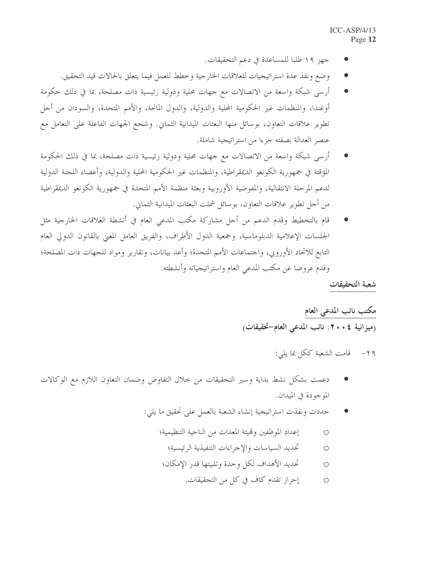- جهز ١٩ طلبا للمساعدة في دعم التحقيقات.
- وضع ونفذ عدة استراتيجيات للعلاقات الخارجية وخطط للعمل فيما يتعلق بالحالات قيد التحقيق.
- أرسى شبكة واسعة من الاتصالات مع جهات محلية ودولية رئيسية ذات مصلحة، بما في ذلك حكومة أوغندا، والمنظمات غير الحكومية المحلية والدولية، والدول المانحة، والأمم المتحدة، والسودان من أجل تطوير علاقات التعاون، بوسائل منها البعثات الميدانية الثماني. وشجع الجهات الفاعلة على التعامل مع عنصر العدالة بصفته جزءا من استراتيجية شاملة.
- أرسى شبكة واسعة من الاتصالات مع جهات محلية ودولية رئيسية ذات مصلحة، بما في ذلك الحكومة المؤقتة في جمهورية الكونغو الديمقراطية، والمنظمات غير الحكومية المحلية والدولية، وأعضاء اللجنة الدولية لدعم المرحلة الانتقالية، والمفوضية الأوروبية وبعثة منظمة الأمم المتحدة في جمهورية الكونغو الديمقراطية من أجل تطوير علاقات التعاون، بوسائل شملت البعثات الميدانية الثماني.
- قام بالتخطيط وقدم الدعم من أجل مشاركة مكتب المدعى العام في أنشطة العلاقات الخارجية مثل الجلسات الإعلامية الدبلوماسية، وجمعية الدول الأطراف، والفريق العامل المعني بالقانون الدولي العام التابع للاتحاد الأوروبي، واحتماعات الأمم المتحدة؛ وأعد بيانات، وتقارير ومواد للجهات ذات المصلحة؛ وقدم عروضا عن مكتب المدعى العام واستراتيجياته وأنشطته.

شعبة التحقيقات

مكتب نائب المدعى العام (ميزانية ٤ • ٢٠: نائب المدعى العام-تحقيقات)

> قامت الشعبة ككل بما يلي:  $-\tau$ 9

- دعمت بشكل نشط بداية وسير التحقيقات من خلال التفاوض وضمان التعاون اللازم مع الوكالات الموجودة في الميدان.
	- حددت ونفذت استراتيجية إنشاء الشعبة بالعمل على تحقيق ما يلي:
		- إعداد الموظفين وتميئة المعدات من الناحية التنظيمية؛  $\circ$ 
			- تحديد السياسات والإجراءات التنفيذية الرئيسية؛  $\circ$
		- تحديد الأهداف لكل وحدة وتلبيتها قدر الإمكان؛  $\circ$ 
			- إحراز تقدم كاف في كل من التحقيقات.  $\circ$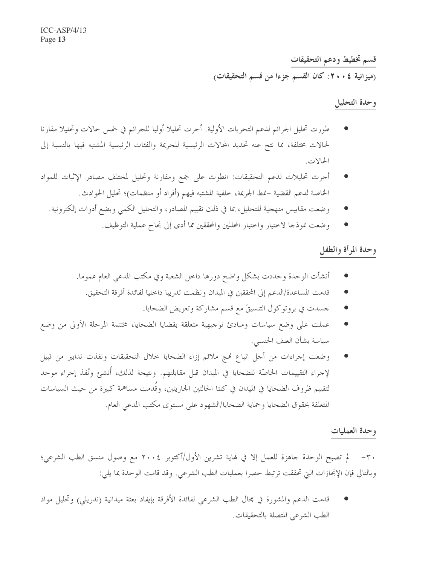قسم تخطيط ودعم التحقيقات (ميزانية ٤ • ٢٠: كان القسم جزءا من قسم التحقيقات)

#### وحدة التحليل

- طورت تحليل الجرائم لدعم التحريات الأولية. أجرت تحليلا أوليا للجرائم في خمس حالات وتحليلا مقارنا لحالات مختلفة، مما نتج عنه تحديد المحالات الرئيسية للجريمة والفئات الرئيسية المشتبه فيها بالنسبة إلى الحالات.
- أجرت تحليلات لدعم التحقيقات: انطوت على جمع ومقارنة وتحليل لمختلف مصادر الإثبات للمواد الخاصة لدعم القضية –نمط الجريمة، خلفية المشتبه فيهم (أفراد أو منظمات)؛ تحليل الحوادث.
	- وضعت مقاييس منهجية للتحليل، بما في ذلك تقييم المصادر، والتحليل الكمبي وبضع أدوات إلكترونية.
		- وضعت نموذجا لاختيار واحتبار المحللين والمحققين مما أدى إلى نجاح عملية التوظيف.

#### وحدة المرأة والطفل

- أنشأت الوحدة وحددت بشكل واضح دورها داخل الشعبة وفي مكتب المدعى العام عموما.
	- قدمت المساعدة/الدعم إلى المحققين في الميدان ونظمت تدريبا داخليا لفائدة أفرقة التحقيق.  $\bullet$ 
		- جسدت في بروتوكول التنسيقَ مع قسم مشاركة وتعويض الضحايا.
- عملت على وضع سياسات ومبادئ توجيهية متعلقة بقضايا الضحايا، مختتمة المرحلة الأولى من وضع سياسة بشأن العنف الجنسبي.
- وضعت إجراءات من أجل اتباع فمج ملائم إزاء الضحايا خلال التحقيقات ونفذت تدابير من قبيل لإجراء التقييمات الخاصّة للضحايا في الميدان قبل مقابلتهم. ونتيجة لذلك، أُنشئ ونُفذ إجراء موحد لتقييم ظروف الضحايا في الميدان في كلتا الحالتين الجاريتين، وقُدمت مساهمة كبيرة من حيث السياسات المتعلقة بحقوق الضحايا وحماية الضحايا/الشهود على مستوى مكتب المدعى العام.

#### وحدة العمليات

٣٠ – لم تصبح الوحدة جاهزة للعمل إلا في نماية تشرين الأول/أكتوبر ٢٠٠٤ مع وصول منسق الطب الشرعي؛ وبالتالي فإن الإنجازات التي تحققت ترتبط حصرًا بعمليات الطب الشرعي. وقد قامت الوحدة بما يلي:

قدمت الدعم والمشورة في مجال الطب الشرعي لفائدة الأفرقة بإيفاد بعثة ميدانية (ندريلي) وتحليل مواد الطب الشرعي المتصلة بالتحقيقات.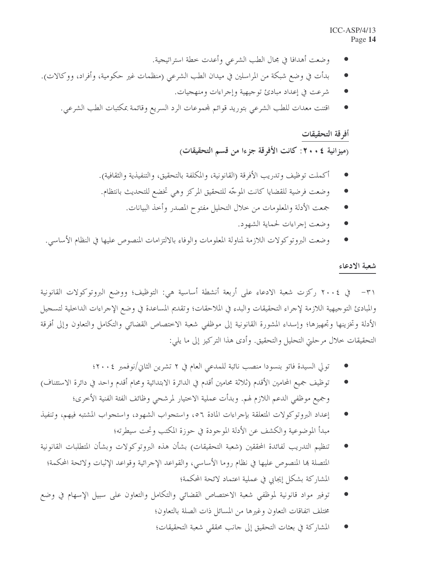- وضعت أهدافا في مجال الطب الشرعي وأعدت خطة استراتيجية.
- بدأت في وضع شبكة من المراسلين في ميدان الطب الشرعي (منظمات غير حكومية، وأفراد، ووكالات).
	- شرعت في إعداد مبادئ توجيهية وإجراءات ومنهجيات.
	- اقتنت معدات للطب الشرعي بتوريد قوائم لمحموعات الرد السريع وقائمة بمكتبات الطب الشرعي.

#### أفرقة التحقيقات

(ميزانية ٤ • ٢٠: كانت الأفرقة جزءا من قسم التحقيقات)

- أكملت توظيف وتدريب الأفرقة (القانونية، والمكلفة بالتحقيق، والتنفيذية والثقافية).
- وضعت فرضية للقضايا كانت الموجّه للتحقيق المركز وهي تخضع للتحديث بانتظام.
	- جمعت الأدلة والمعلومات من حلال التحليل مفتوح المصدر وأحذ البيانات.
		- وضعت إجراءات لحماية الشهود.
- وضعت البروتوكولات اللازمة لمناولة المعلومات والوفاء بالالتزامات المنصوص عليها في النظام الأساسي.  $\bullet$

#### شعبة الادعاء

والمبادئ التوجيهية اللازمة لإجراء التحقيقات والبدء في الملاحقات؛ وتقديم المساعدة في وضع الإجراءات الداحلية لتسجيل الأدلة وتخزينها وتحهيزها؛ وإسداء المشورة القانونية إلى موظفى شعبة الاختصاص القضائي والتكامل والتعاون وإلى أفرقة التحقيقات خلال مرحلتي التحليل والتحقيق. وأدى هذا التركيز إلى ما يلي:

- تولى السيدة فاتو بنسودا منصب نائبة للمدعى العام في ٢ تشرين الثاني/نوفمبر ٢٠٠٤؛
- توظيف جميع المحامين الأقدم (ثلاثة محامين أقدم في الدائرة الابتدائية ومحام أقدم واحد في دائرة الاستئناف) وجميع موظفى الدعم اللازم لهم. وبدأت عملية الاختيار لمرشحي وظائف الفئة الفنية الأخرى؛
- إعداد البروتوكولات المتعلقة بإجراءات المادة ٥٦، واستجواب الشهود، واستجواب المشتبه فيهم، وتنفيذ مبدأ الموضوعية والكشف عن الأدلة الموجودة في حوزة المكتب وتحت سيطرته؛
- تنظيم التدريب لفائدة المحققين (شعبة التحقيقات) بشأن هذه البروتوكولات وبشأن المتطلبات القانونية  $\bullet$ المتصلة بما المنصوص عليها في نظام روما الأساسي، والقواعد الإجرائية وقواعد الإثبات ولائحة المحكمة؛
	- المشاركة بشكل إيجابي في عملية اعتماد لائحة المحكمة؛
- توفير مواد قانونية لموظفى شعبة الاختصاص القضائي والتكامل والتعاون على سبيل الإسهام في وضع مختلف اتفاقات التعاون وغيرها من المسائل ذات الصلة بالتعاون؛
	- المشاركة في بعثات التحقيق إلى حانب محققى شعبة التحقيقات؛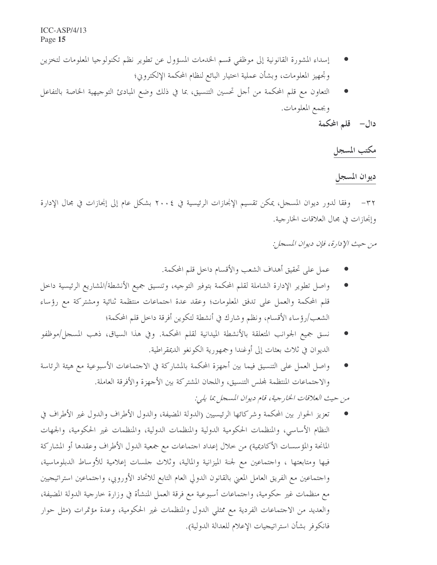- إسداء المشورة القانونية إلى موظفى قسم الخدمات المسؤول عن تطوير نظم تكنولوجيا المعلومات لتخزين وتجهيز المعلومات، وبشأن عملية احتيار البائع لنظام المحكمة الإلكتروين؛
- التعاون مع قلم المحكمة من أحل تحسين التنسيق، بما في ذلك وضع المبادئ التوجيهية الخاصة بالتفاعل وبجمع المعلومات.

دال– قلم المحكمة

مكتب المسجل

#### ديوان المسجل

٣٢– وفقا لدور ديوان المسجل، يمكن تقسيم الإنجازات الرئيسية في ٢٠٠٤ بشكل عام إلى إنجازات في مجال الإدارة وإنجازات في مجال العلاقات الخارجية.

من حيث الإدارة، فإن ديوان المسجل:

- عملٍ على تحقيق أهداف الشعب والأقسام داخل قلم المحكمة.
- واصل تطوير الإدارة الشاملة لقلم المحكمة بتوفير التوجيه، وتنسيق جميع الأنشطة/المشاريع الرئيسية داخل قلم المحكمة والعمل على تدفق المعلومات؛ وعقد عدة اجتماعات منتظمة ثنائية ومشتركة مع رؤساء الشعب/رؤ ساء الأقسام، ونظم وشارك في أنشطة لتكوين أفرقة داخل قلم المحكمة؛
- نسق جميع الجوانب المتعلقة بالأنشطة الميدانية لقلم المحكمة. وفي هذا السياق، ذهب المسجل/موظفو الديوان في ثلاث بعثات إلى أوغندا وجمهورية الكونغو الديمقراطية.
- واصل العمل على التنسيق فيما بين أجهزة المحكمة بالمشاركة في الاجتماعات الأسبوعية مع هيئة الرئاسة والاجتماعات المنتظمة لمحلس التنسيق، واللجان المشتركة بين الأجهزة والأفرقة العاملة.

من حيث العلاقات الخارجية، قام ديوان المسجل بما يلي:

تعزيز الحوار بين المحكمة وشركائها الرئيسيين (الدولة المضيفة، والدول الأطراف والدول غير الأطراف في النظام الأساسي، والمنظمات الحكومية الدولية والمنظمات الدولية، والمنظمات غير الحكومية، والجهات المانحة والمؤسسات الأكاديمية) من خلال إعداد احتماعات مع جمعية الدول الأطراف وعقدها أو المشاركة فيها ومتابعتها ، واحتماعين مع لجنة الميزانية والمالية، وثلاث حلسات إعلامية للأوساط الدبلوماسية، واحتماعين مع الفريق العامل المعنى بالقانون الدولي العام التابع للاتحاد الأوروبي، واحتماعين استراتيجيين مع منظمات غير حكومية، واجتماعات أسبوعية مع فرقة العمل المنشأة في وزارة خارجية الدولة المضيفة، والعديد من الاجتماعات الفردية مع ممثلي الدول والمنظمات غير الحكومية، وعدة مؤتمرات (مثل حوار فانكوفر بشأن استراتيجيات الإعلام للعدالة الدولية).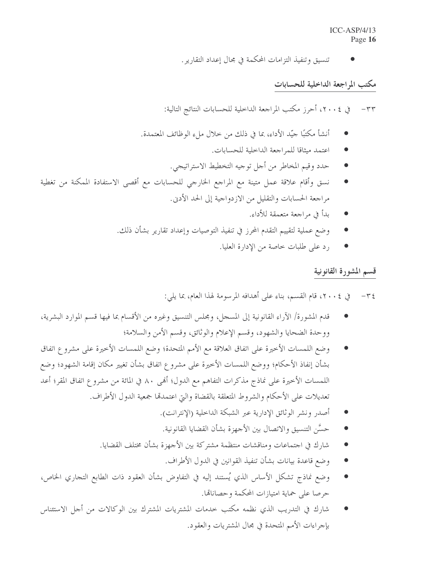تنسيق وتنفيذ التزامات المحكمة في مجال إعداد التقارير .

#### مكتب المراجعة الداخلية للحسابات

٣٣– في ٢٠٠٤، أحرز مكتب المراجعة الداخلية للحسابات النتائج التالية:

- أنشأ مكتبًا جيِّد الأداء، بما في ذلك من حلال ملء الوظائف المعتمدة.
	- اعتمد ميثاقا للمراجعة الداخلية للحسابات.
	- حدد وقيم المخاطر من أجل توجيه التخطيط الاستراتيجي.
- نسق وأقام علاقة عمل متينة مع المراجع الخارجي للحسابات مع أقصى الاستفادة الممكنة من تغطية مراجعة الحسابات والتقليل من الازدواجية إلى الحد الأدبي.
	- بدأ في مراجعة متعمقة للأداء.
	- وضع عملية لتقييم التقدم المحرز في تنفيذ التوصيات وإعداد تقارير بشأن ذلك.
		- رد على طلبات حاصة من الإدارة العليا.

#### قسم المشورة القانونية

- في ٢٠٠٤، قام القسم، بناء على أهدافه المرسومة لهذا العام، بما يلي:  $-\tau$   $\epsilon$
- قدم المشورة/ الآراء القانونية إلى المسجل، ومجلس التنسيق وغيره من الأقسام بما فيها قسم الموارد البشرية، ووحدة الضحايا والشهود، وقسم الإعلام والوثائق، وقسم الأمن والسلامة؛
- وضع اللمسات الأخيرة على اتفاق العلاقة مع الأمم المتحدة؛ وضع اللمسات الأخيرة على مشروع اتفاق بشأن إنفاذ الأحكام؛ ووضع اللمسات الأخيرة على مشروع اتفاق بشأن تغيير مكان إقامة الشهود؛ وضع اللمسات الأخيرة على نماذج مذكرات التفاهم مع الدول؛ أُلهى ٨٠ في المائة من مشروع اتفاق المقر؛ أعد تعديلات على الأحكام والشروط المتعلقة بالقضاة والتي اعتمدقما جمعية الدول الأطراف.
	- أصدر ونشر الوثائق الإدارية عبر الشبكة الداخلية (الإنترانت).
	- حسَّن التنسيق والاتصال بين الأجهزة بشأن القضايا القانونية.
	- شارك في احتماعات ومناقشات منتظمة مشتركة بين الأجهزة بشأن مختلف القضايا.
		- وضع قاعدة بيانات بشأن تنفيذ القوانين في الدول الأطراف.
- وضع نماذج تشكل الأساس الذي يُستند إليه في التفاوض بشأن العقود ذات الطابع التجاري الخاص، حرصا على حماية امتيازات المحكمة وحصاناقما.
- شارك في التدريب الذي نظمه مكتب حدمات المشتريات المشترك بين الوكالات من أجل الاستئناس بإجراءات الأمم المتحدة في مجال المشتريات والعقود.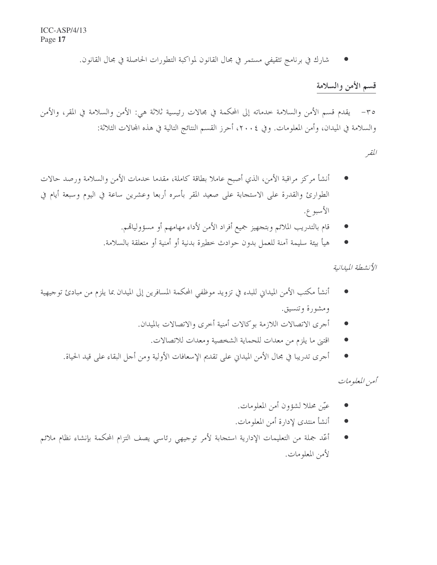شارك في برنامج تثقيفي مستمر في مجال القانون لمواكبة التطورات الحاصلة في مجال القانون.

#### قسم الأمن والسلامة

٣٥– يقدم قسم الأمن والسلامة خدماته إلى المحكمة في مجالات رئيسية ثلاثة هي: الأمن والسلامة في المقر، والأمن والسلامة في الميدان، وأمن المعلومات. وفي ٢٠٠٤، أحرز القسم النتائج التالية في هذه المحالات الثلاثة:

المقبر

- أنشأ مركز مراقبة الأمن، الذي أصبح عاملا بطاقة كاملة، مقدما خدمات الأمن والسلامة ورصد حالات الطوارئ والقدرة على الاستجابة على صعيد المقر بأسره أربعا وعشرين ساعة في اليوم وسبعة أيام في الأسبوع.
	- قام بالتدريب الملائم وبتجهيز جميع أفراد الأمن لأداء مهامهم أو مسؤولياتمم.
	- هيأ بيئة سليمة آمنة للعمل بدون حوادث خطيرة بدنية أو أمنية أو متعلقة بالسلامة.

الأنشطة الميدانية

- أنشأ مكتب الأمن الميداني للبدء في تزويد موظفي المحكمة المسافرين إلى الميدان بما يلزم من مبادئ توجيهية ومشورة وتنسيق.
	- أجرى الاتصالات اللازمة بوكالات أمنية أخرى والاتصالات بالميدان.
		- اقتني ما يلزم من معدات للحماية الشخصية ومعدات للاتصالات.
	- أُجرى تدريبا في مجال الأمن الميداني على تقديم الإسعافات الأولية ومن أجل البقاء على قيد الحياة.

گهن المعلومات

- عيّن محللا لشؤون أمن المعلومات.
- أنشأ منتدى لإدارة أمن المعلومات.  $\bullet$
- أعّد جملة من التعليمات الإدارية استحابة لأمر توجيهي رئاسي يصف التزام المحكمة بإنشاء نظام ملائم لأمن المعلومات.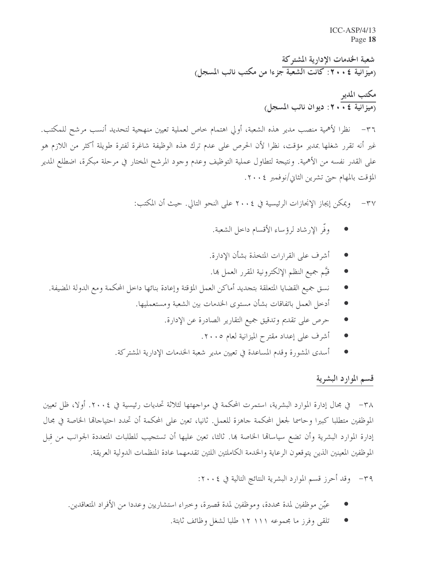$ICC-ASP/4/13$ Page 18

شعبة الخدمات الإدارية المشتركة (مِيزَانِيةِ ٢٠٠٤: كانتِ الشَّعِيةِ جزءا من مكتب نائب المسجل)

مکتب المدیر<br>(میزانیة ٤ • • ٢ : دیوان نائب المسجل)

نظرا لأهمية منصب مدير هذه الشعبة، أولى اهتمام خاص لعملية تعيين منهجية لتحديد أنسب مرشح للمكتب.  $-\tau$ غير أنه تقرر شغلها بمدير مؤقت، نظرًا لأن الحرص على عدم ترك هذه الوظيفة شاغرة لفترة طويلة أكثر من اللازم هو على القدر نفسه من الأهمية. ونتيجة لتطاول عملية التوظيف وعدم وجود المرشح المختار في مرحلة مبكرة، اضطلع المدير المؤقت بالمهام حيّ تشرين الثاني/نوفمبر ٢٠٠٤.

> ويمكن إيجاز الإنجازات الرئيسية في ٢٠٠٤ على النحو التالي. حيث أن المكتب:  $-\tau v$

- وفَّر الإرشاد لرؤساء الأقسام داخل الشعبة.
- أشرف على القرارات المتخذة بشأن الإدارة.
- قيَّم جميع النظم الإلكترونية المقرر العمل ها.
- نسق جميع القضايا المتعلقة بتجديد أماكن العمل المؤقتة وإعادة بنائها داخل المحكمة ومع الدولة المضيفة.
	- أدخل العمل باتفاقات بشأن مستوى الخدمات بين الشعبة ومستعمليها.
		- حرص على تقديم وتدقيق جميع التقارير الصادرة عن الإدارة.
			- أشرف على إعداد مقترح الميزانية لعام ٢٠٠٥.
	- أسدى المشورة وقدم المساعدة في تعيين مدير شعبة الخدمات الإدارية المشتركة.

#### قسم الموارد البشرية

٣٨– في مجال إدارة الموارد البشرية، استمرت المحكمة في مواجهتها لثلاثة تحديات رئيسية في ٢٠٠٤. أولا، ظل تعيين الموظفين متطلبا كبيرا وحاسما لجعل المحكمة جاهزة للعمل. ثانيا، تعين على المحكمة أن تحدد احتياجاقما الخاصة في مجال إدارة الموارد البشرية وأن تضع سياساقما الخاصة بما. ثالثا، تعين عليها أن تستجيب للطلبات المتعددة الجوانب من قبل الموظفين المعينين الذين يتوقعون الرعاية والخدمة الكاملتين اللتين تقدمهما عادة المنظمات الدولية العريقة.

٣٩- وقد أحرز قسم الموارد البشرية النتائج التالية في ٢٠٠٤:

- عيّن موظفين لمدة محددة، وموظفين لمدة قصيرة، وحبراء استشاريين وعددا من الأفراد المتعاقدين.
	- تلقى وفرز ما مجموعه ١١١ ١٢ طلبا لشغل وظائف ثابتة.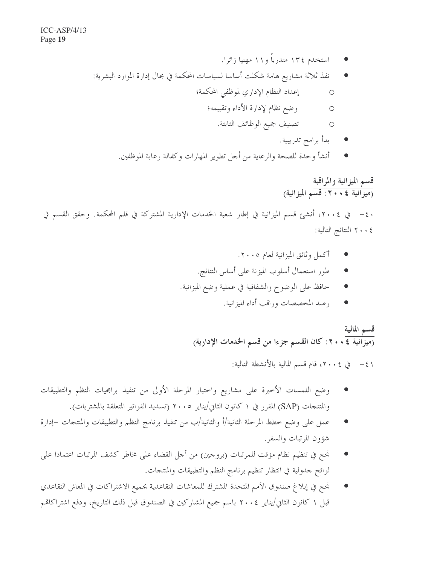- استخدم ١٣٤ متدرباً و١١ مهنيا زائرا.
- نفذ ثلاثة مشاريع هامة شكلت أساسا لسياسات المحكمة في مجال إدارة الموارد البشرية:
	- إعداد النظام الإداري لموظفي المحكمة؛  $\bigcirc$ 
		- وضع نظام لإدارة الأداء وتقييمه؛  $\circ$ 
			- O تصنيف جميع الوظائف الثابتة.
				- بدأ برامج تدريبية.
	- أنشأ وحدة للصحة والرعاية من أجل تطوير المهارات وكفالة رعاية الموظفين.

#### قسم الميزانية والمراقبة (ميزانية ٤ • • ٢ : قسم الميزانية)

٢٠٠٤ النتائج التالية:

- أكمل وثائق الميزانية لعام ٢٠٠٥.
- طور استعمال أسلوب الميزنة على أساس النتائج.
- حافظ على الوضوح والشفافية في عملية وضع الميزانية.
	- رصد المخصصات وراقب أداء الميزانية.

### قسم المالية (ميزانية ٤ × ٢٠: كان القسم جزءا من قسم الخدمات الإدارية)

٤١ - في ٢٠٠٤، قام قسم المالية بالأنشطة التالية:

- وضع اللمسات الأخيرة على مشاريع واختبار المرحلة الأولى من تنفيذ برامجيات النظم والتطبيقات والمنتجات (SAP) المقرر في ١ كانون الثاني/يناير ٢٠٠٥ (تسديد الفواتير المتعلقة بالمشتريات).
- عمل على وضع خطط المرحلة الثانية/أ والثانية/ب من تنفيذ برنامج النظم والتطبيقات والمنتجات –إدارة شؤون المرتبات والسفر.
- نجح في تنظيم نظام مؤقت للمرتبات (بروجين) من أجل القضاء على مخاطر كشف المرتبات اعتمادا على لوائح حدولية في انتظار تنظيم برنامج النظم والتطبيقات والمنتجات.
- نجح في إبلاغ صندوق الأمم المتحدة المشترك للمعاشات التقاعدية بجميع الاشتراكات في المعاش التقاعدي قبل ١ كانون الثاني/يناير ٢٠٠٤ باسم جميع المشاركين في الصندوق قبل ذلك التاريخ، ودفع اشتراكاتهم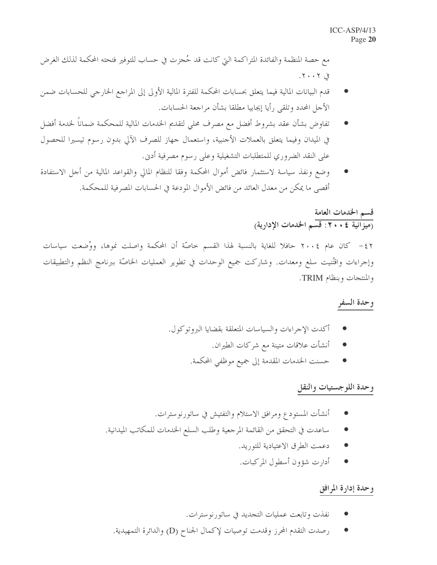مع حصة المنظمة والفائدة المتراكمة التي كانت قد حُجزت في حساب للتوفير فتحته المحكمة لذلك الغرض  $5.7.7.7$ 

- قدم البيانات المالية فيما يتعلق بحسابات المحكمة للفترة المالية الأولى إلى المراجع الخارجي للحسابات ضمن الأحل المحدد وتلقى رأيا إيجابيا مطلقا بشأن مراجعة الحسابات.
- تفاوض بشأن عقد بشروط أفضل مع مصرف محلى لتقديم الخدمات المالية للمحكمة ضماناً لخدمة أفضل في الميدان وفيما يتعلق بالعملات الأجنبية، واستعمال جهاز للصرف الآلي بدون رسوم تيسيرا للحصول على النقد الضروري للمتطلبات التشغيلية وعلى رسوم مصرفية أدبي.
- وضع ونفذ سياسة لاستثمار فائض أموال المحكمة وفقا للنظام المالي والقواعد المالية من أجل الاستفادة أقصى ما يمكن من معدل العائد من فائض الأموال المودعة في الحسابات المصرفية للمحكمة.

#### قسم الخدمات العامة (ميزانية ٢٠٠٤: قسم الخدمات الإدارية)

٤٢ – كان عام ٢٠٠٤ حافلا للغاية بالنسبة لهذا القسم حاصّة أن المحكمة واصلت نموها، ووُضعت سياسات وإجراءات واقتُنيت سلع ومعدات. وشاركت جميع الوحدات في تطوير العمليات الخاصَّة ببرنامج النظم والتطبيقات والمنتجات وبنظام TRIM.

#### وحدة السفر

- أكدت الإجراءات والسياسات المتعلقة بقضايا البروتوكول.
	- أنشأت علاقات متينة مع شركات الطيران.
	- حسنت الخدمات المقدمة إلى جميع موظفى المحكمة.

#### وحدة اللوجستيات والنقل

- أنشأت المستودع ومرافق الاستلام والتفتيش في ساتورنوسترات.
- ساعدت في التحقق من القائمة المرجعية وطلب السلع الخدمات للمكاتب الميدانية.
	- دعمت الطرق الاعتيادية للتوريد.
	- أدارت شؤون أسطول المركبات.

#### وحدة إدارة المرافق

- نفذت وتابعت عمليات التجديد في ساتورنوسترات.
- رصدت التقدم المحرز وقدمت توصيات لإكمال الجناح (D) والدائرة التمهيدية.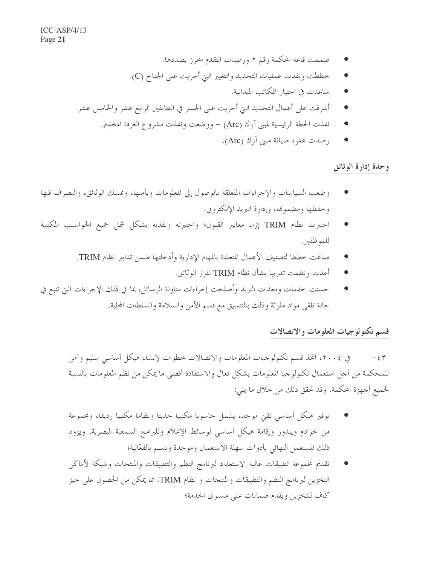- صممت قاعة المحكمة رقم ٢ ورصدت التقدم المحرز بصددها.
- خططت ونفذت عمليات التجديد والتغيير التي أجريت على الجناح (C).
	- ساعدت في اختيار المكاتب الميدانية.
- أشرفت على أعمال التجديد التي أحريت على الجسر في الطابقين الرابع عشر والخامس عشر.
	- نفذت الخطة الرئيسية لمبني آرك (Arc) ووضعت ونفذت مشروع الغرفة المخدم.
		- رصدت عقود صيانة مبني آرك (Arc).

وحدة إدارة الوثائق

- وضعت السياسات والإجراءات المتعلقة بالوصول إلى المعلومات وبأمنها، وبمسك الوثائق، والتصرف فيها وحفظها ومضمولها، وإدارة البريد الإلكتروين.
- احتبرت نظام TRIM إزاء معايير القبول؛ واحتبرته ونفذته بشكل شمل جميع الحواسيب المكتبية  $\bullet$ للموظفين.
	- صاغت خططا لتصنيف الأعمال المتعلقة بالمهام الإدارية وأدخلتها ضمن تدابير نظام TRIM.
		- أعدت ونظمت تدريبا بشأن نظام TRIM لفرز الوثائق.
- حسنت خدمات ومعدات البريد وأصلحت إجراءات مناولة الرسائل، بما في ذلك الإجراءات التي تتبع في حالة تلقي مواد ملوثة وذلك بالتنسيق مع قسم الأمن والسلامة والسلطات المحلية.

#### قسم تكنولوجيات المعلومات والاتصالات

في ٢٠٠٤، اتخذ قسم تكنولوجيات المعلومات والاتصالات خطوات لإنشاء هيكل أساسي سليم وآمن  $-\xi \tau$ للمحكمة من أجل استعمال تكنولوجيا المعلومات بشكل فعال والاستفادة أقصى ما يمكن من نظم المعلومات بالنسبة لجميع أجهزة المحكمة. وقد تحقق ذلك من خلال ما يلي:

- توفير هيكل أساسى تقيئ موحد، يشمل حاسوبا مكتبيا حديثا ونظاما مكتبيا رديفا، ومجموعة من خوادم ويندوز وإقامة هيكل أساسي لوسائط الإعلام وللبرامج السمعية البصرية. ويزود ذلك المستعمل النهائي بأدوات سهلة الاستعمال وموحدة وتتسم بالفعّالية؛
- تقديم مجموعة تطبيقات عالية الاستعداد لبرنامج النظم والتطبيقات والمنتجات وشبكة لأماكن التخزين لبرنامج النظم والتطبيقات والمنتجات و نظام TRIM، مما يمكن من الحصول على حيز كاف للتخزين ويقدم ضمانات على مستوى الخدمة؛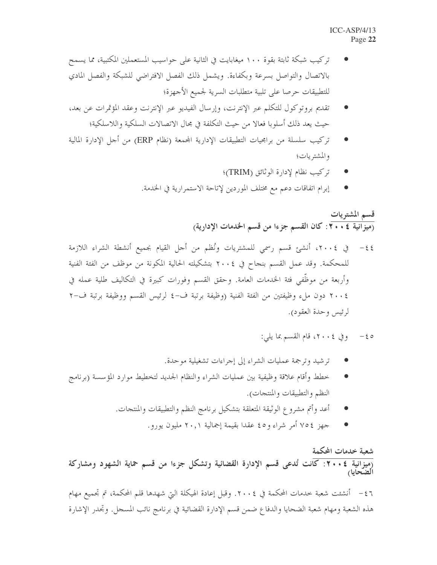- تركيب شبكة ثابتة بقوة ١٠٠ ميغابايت في الثانية على حواسيب المستعملين المكتبية، مما يسمح بالاتصال والتواصل بسرعة وبكفاءة. ويشمل ذلك الفصل الافتراضي للشبكة والفصل المادي للتطبيقات حرصا على تلبية متطلبات السرية لجميع الأجهزة؛
- تقديم بروتوكول للتكلم عبر الإنترنت، وإرسال الفيديو عبر الإنترنت وعقد المؤتمرات عن بعد، حيث يعد ذلك أسلوبا فعالا من حيث التكلفة في مجال الاتصالات السلكية واللاسلكية؛
- تركيب سلسلة من برامجيات التطبيقات الإدارية المجمعة (نظام ERP) من أحل الإدارة المالية والمشتريات؛
	- تركيب نظام لإدارة الوثائق (TRIM)؛
	- إبرام اتفاقات دعم مع مختلف الموردين لإتاحة الاستمرارية في الخدمة.

قسم المشتريات <sub>(</sub>ميزَّانية ٢٠٠٤: كان القسم جزءا من قسم الحدمات الإدارية)

- للمحكمة. وقد عمل القسم بنجاح في ٢٠٠٤ بتشكيلته الحالية المكونة من موظف من الفئة الفنية وأربعة من موظَّفي فئة الخدمات العامة. وحقق القسم وفورات كبيرة في التكاليف طلية عمله في ٢٠٠٤ دون ملء وظيفتين من الفئة الفنية (وظيفة برتبة ف-٤ لرئيس القسم ووظيفة برتبة ف-٢ لرئيس وحدة العقود).
	- 6 > وفي ٢٠٠٤، قام القسم بما يلي:
	- تر شيد وترجمة عمليات الشراء إلى إجراءات تشغيلية موحدة.
- خطط وأقام علاقة وظيفية بين عمليات الشراء والنظام الجديد لتخطيط موارد المؤسسة (برنامج النظم والتطبيقات والمنتجات).
	- أعد وأتم مشروع الوثيقة المتعلقة بتشكيل برنامج النظم والتطبيقات والمنتجات.
		- جهز ٧٥٤ أمر شراء و٤٥ عقدًا بقيمة إجمالية ٢٠,١ مليون يورو.

#### شعبة خدمات المحكمة

.<br><sub>(</sub>ميزانية ٢٠٠٤: كانت تُدعى قسم الإدارة القضائية وتشكل جزءا من قسم حماية الشهود ومشاركة الضحايا

٤٦ – أنشئت شعبة خدمات المحكمة في ٢٠٠٤. وقبل إعادة الهيكلة التي شهدها قلم المحكمة، تم تجميع مهام هذه الشعبة ومهام شعبة الضحايا والدفاع ضمن قسم الإدارة القضائية في برنامج نائب المسجل. وتجدر الإشارة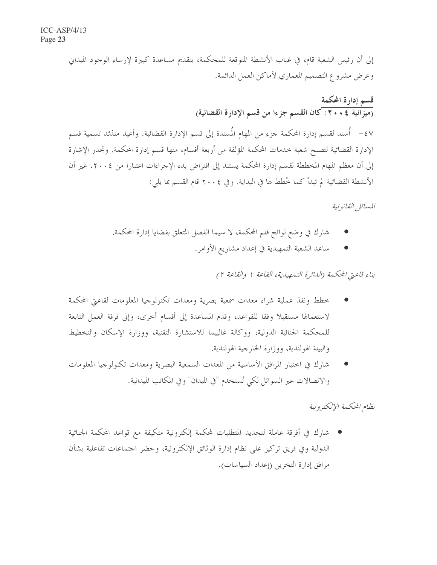إلى أن رئيس الشعبة قام، في غياب الأنشطة المتوقعة للمحكمة، بتقديم مساعدة كبيرة لإرساء الوجود الميداني وعرض مشروع التصميم المعماري لأماكن العمل الدائمة.

قسم إدارة المحكمة (ميزانية ٤ • • ٢: كان القسم جزءا من قسم الإدارة القضائية) ٤٧ - أُسند لقسم إدارة المحكمة جزء من المهام المُسندة إلى قسم الإدارة القضائية. وأعيد منذئد تسمية قسم الإدارة القضائية لتصبح شعبة حدمات المحكمة المؤلفة من أربعة أقسام، منها قسم إدارة المحكمة. وتجدر الإشارة إلى أن معظم المهام المخططة لقسم إدارة المحكمة يستند إلى افتراض بدء الإجراءات اعتبارا من ٢٠٠٤. غير أن الأنشطة القضائية لم تبدأ كما خُطط لها في البداية. وفي ٢٠٠٤ قام القسم بما يلي:

المسائل القانونية

- شارك في وضع لوائح قلم المحكمة، لا سيما الفصل المتعلق بقضايا إدارة المحكمة.
	- ساعد الشعبة التمهيدية في إعداد مشاريع الأوامر.

بناء قاعتي المحكمة (الدائرة التمهيدية، القاعة ١ والقاعة ٢)

- خطط ونفذ عملية شراء معدات سمعية بصرية ومعدات تكنولوجيا المعلومات لقاعتي المحكمة لاستعمالها مستقبلا وفقا للقواعد، وقدم المساعدة إلى أقسام أخرى، وإلى فرقة العمل التابعة للمحكمة الجنائية الدولية، ووكالة غالييما للاستشارة التقنية، ووزارة الإسكان والتخطيط والبيئة الهولندية، ووزارة الخارجية الهولندية.
- شارك في احتيار المرافق الأساسية من المعدات السمعية البصرية ومعدات تكنولوجيا المعلومات والاتصالات عبر السواتل لكي تُستخدم "في الميدان" وفي المكاتب الميدانية.

نظام المحكمة الالكتيرونية

شارك في أفرقة عاملة لتحديد المتطلبات لمحكمة إلكترونية متكيفة مع قواعد المحكمة الجنائية الدولية وفي فريق تركيز على نظام إدارة الوثائق الإلكترونية، وحضر اجتماعات تفاعلية بشأن مرافق إدارة التخزين (إعداد السياسات).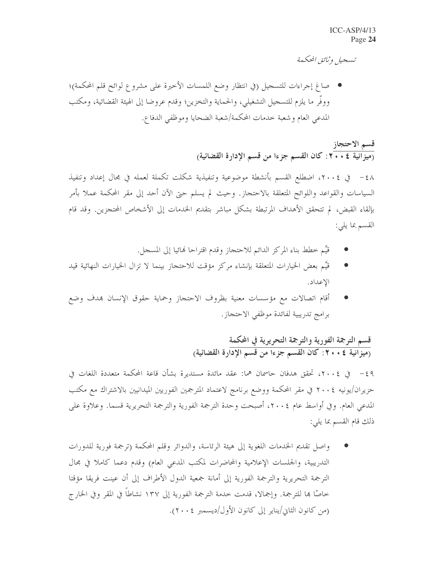تسجيل وثائق المحكمة

صاغ إجراءات للتسجيل (في انتظار وضع اللمسات الأخيرة على مشروع لوائح قلم المحكمة)؛ ووفر ما يلزم للتسحيل التشغيلي، والحماية والتخزين؛ وقدم عروضا إلى الهيئة القضائية، ومكتب المدعى العام وشعبة حدمات المحكمة/شعبة الضحايا وموظفي الدفاع.

### قسم الاحتجاز

السياسات والقواعد واللوائح المتعلقة بالاحتجاز. وحيث لم يسلم حتى الآن أحد إلى مقر المحكمة عملا بأمر بإلقاء القبض، لم تتحقق الأهداف المرتبطة بشكل مباشر بتقديم الخدمات إلى الأشخاص المحتجزين. وقد قام القسم بما يلي:

- قيَّم خطط بناء المركز الدائم للاحتجاز وقدم اقتراحا نمائيا إلى المسجل.
- قيَّم بعض الخيارات المتعلقة بإنشاء مركز مؤقت للاحتجاز بينما لا تزال الخيارات النهائية قيد الاعداد.
- أقام اتصالات مع مؤسسات معنية بظروف الاحتجاز وحماية حقوق الإنسان بمدف وضع برامج تدريبية لفائدة موظفى الاحتجاز.

#### قسم الترجمة الفورية والترجمة التحريرية في المحكمة <sub>(</sub>ميزانية ٢٠٠٤: كان القسم جزءا من قسم الإدارة القضائية)

حزيران/يونيه ٢٠٠٤ في مقر المحكمة ووضع برنامج لاعتماد المترجمين الفوريين الميدانيين بالاشتراك مع مكتب المدعى العام. وفي أواسط عام ٢٠٠٤، أصبحت وحدة الترجمة الفورية والترجمة التحريرية قسما. وعلاوة على ذلك قام القسم بما يلي:

واصل تقديم الخدمات اللغوية إلى هيئة الرئاسة، والدوائر وقلم المحكمة (ترجمة فورية للدورات التدريبية، والجلسات الإعلامية والمحاضرات لمكتب المدعى العام) وقدم دعما كاملا في مجال الترجمة التحريرية والترجمة الفورية إلى أمانة جمعية الدول الأطراف إلى أن عينت فريقا مؤقتا خاصًّا هِا للترجمة. وإجمالًا، قدمت خدمة الترجمة الفورية إلى ١٣٧ نشاطاً في المقر وفي الخارج (من كانون الثاني/يناير إلى كانون الأول/ديسمبر ٢٠٠٤).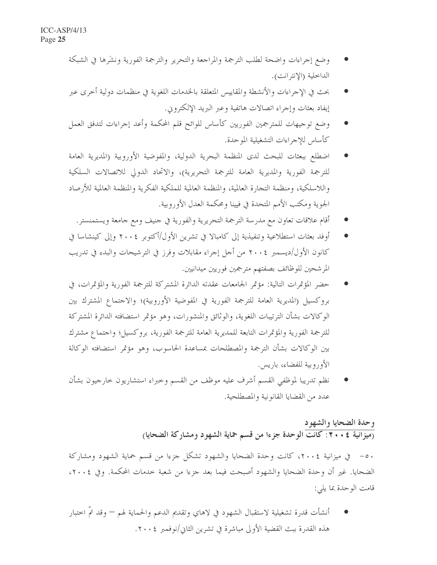- وضع إجراءات واضحة لطلب الترجمة والمراجعة والتحرير والترجمة الفورية ونشَرها في الشبكة الداخلية (الإنترانت).
- بحث في الإجراءات والأنشطة والمقاييس المتعلقة بالخدمات اللغوية في منظمات دولية أخرى عبر إيفاد بعثات وإجراء اتصالات هاتفية وعبر البريد الإلكتروين.
- وضع توجيهات للمترجمين الفوريين كأساس للوائح قلم المحكمة وأعد إجراءات لتدفق العمل كأساس للإجراءات التشغيلية الموحدة.
- اضطلع ببعثات للبحث لدى المنظمة البحرية الدولية، والمفوضية الأوروبية (المديرية العامة للترجمة الفورية والمديرية العامة للترجمة التحريرية)، والاتحاد الدولي للاتصالات السلكية واللاسلكية، ومنظمة التجارة العالمية، والمنظمة العالمية للملكية الفكرية والمنظمة العالمية للأرصاد الجوية ومكتب الأمم المتحدة في فيينا ومحكمة العدل الأوروبية.
	- أقام علاقات تعاون مع مدرسة الترجمة التحريرية والفورية في حنيف ومع جامعة ويستمنستر.
- أوفد بعثات استطلاعية وتنفيذية إلى كامبالا في تشرين الأول/أكتوبر ٢٠٠٤ وإلى كينشاسا في كانون الأول/ديسمبر ٢٠٠٤ من أجل إجراء مقابلات وفرز في الترشيحات والبدء في تدريب المر شحين للوظائف بصفتهم مترجمين فوريين ميدانيين.
- حضر المؤتمرات التالية: مؤتمر الجامعات عقدته الدائرة المشتركة للترجمة الفورية والمؤتمرات، في بروكسيل (المديرية العامة للترجمة الفورية في المفوضية الأوروبية)؛ والاجتماع المشترك بين الوكالات بشأن الترتيبات اللغوية، والوثائق والمنشورات، وهو مؤتمر استضافته الدائرة المشتركة للترجمة الفورية والمؤتمرات التابعة للمديرية العامة للترجمة الفورية، بروكسيل؛ واحتماع مشترك بين الوكالات بشأن الترجمة والمصطلحات بمساعدة الحاسوب، وهو مؤتمر استضافته الوكالة الأوروبية للفضاء، باريس.
- نظم تدريبا لموظفي القسم أشرف عليه موظف من القسم وحبراء استشاريون حارجيون بشأن عدد من القضايا القانو نية والمصطلحية.

#### وحدة الضحايا والشهود (ميزانية ٢٠٠٤: كانت الوحدة جزءا من قسم حماية الشهود ومشاركة الضحايا)

٥٠ – في ميزانية ٢٠٠٤، كانت وحدة الضحايا والشهود تشكل حزءا من قسم حماية الشهود ومشاركة الضحايا. غير أن وحدة الضحايا والشهود أصبحت فيما بعد حزءا من شعبة حدمات المحكمة. وفي ٢٠٠٤، قامت الوحدة بما يلي:

أنشأت قدرة تشغيلية لاستقبال الشهود في لاهاي وتقديم الدعم والحماية لهم — وقد تمَّ اختبار هذه القدرة ببت القضية الأولى مباشرة في تشرين الثاني/نوفمبر ٢٠٠٤.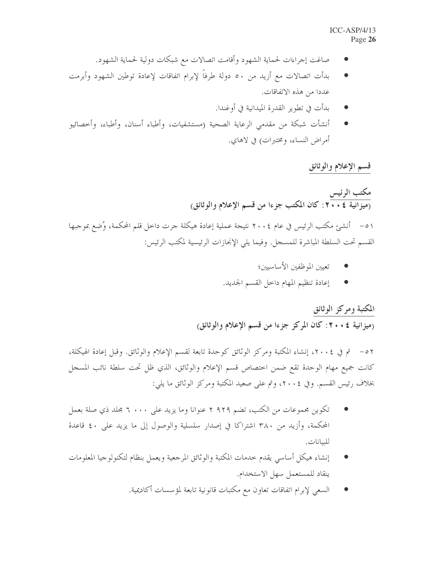- صاغت إجراءات لحماية الشهود وأقامت اتصالات مع شبكات دولية لحماية الشهود.
- بدأت اتصالات مع أزيد من ٥٠ دولة طرفاً لإبرام اتفاقات لإعادة توطين الشهود وأبرمت عددا من هذه الاتفاقات.
	- بدأت في تطوير القدرة الميدانية في أوغندا.
- أنشأت شبكة من مقدمي الرعاية الصحية (مستشفيات، وأطباء أسنان، وأطباء، وأحصائيو أمراض النساء، ومختبرات) في لاهاي.

#### قسم الإعلام والوثائق

مكتب الرئيس<br>(ميزانية ٢٠٠٤: كان المكتب جزءا من قسم الإعلام والوثائق) ٥١ – أنشئ مكتب الرئيس في عام ٢٠٠٤ نتيجة عملية إعادة هيكلة جرت داخل قلم المحكمة، وُضع بموجبها القسم تحت السلطة المباشرة للمسحل. وفيما يلي الإنحازات الرئيسية لمكتب الرئيس:

- تعيين الموظفين الأساسيين؛
- إعادة تنظيم المهام داخل القسم الجديد.

#### المكتبة ومركز الوثائق

(ميزانية ٢٠٠٤: كان المركز جزءا من قسم الإعلام والوثائق)

٥٢ – تم في ٢٠٠٤، إنشاء المكتبة ومركز الوثائق كوحدة تابعة لقسم الإعلام والوثائق. وقبل إعادة الهيكلة، كانت جميع مهام الوحدة تقع ضمن احتصاص قسم الإعلام والوثائق، الذي ظل تحت سلطة نائب المسجل بخلاف رئيس القسم. وفي ٢٠٠٤، وتم على صعيد المكتبة ومركز الوثائق ما يلي:

- تكوين مجموعات من الكتب، تضم ٩٢٩ ٢ عنوانا وما يزيد على ٦ ٠٠٠ مجلد ذي صلة بعمل المحكمة، وأزيد من ٣٨٠ اشتراكا في إصدار سلسلية والوصول إلى ما يزيد على ٤٠ قاعدة للبيانات.
- إنشاء هيكل أساسى يقدم خدمات المكتبة والوثائق المرجعية ويعمل بنظام لتكنولوجيا المعلومات ينقاد للمستعمل سهل الاستخدام.
	- السعى لإبرام اتفاقات تعاون مع مكتبات قانونية تابعة لمؤسسات أكاديمية.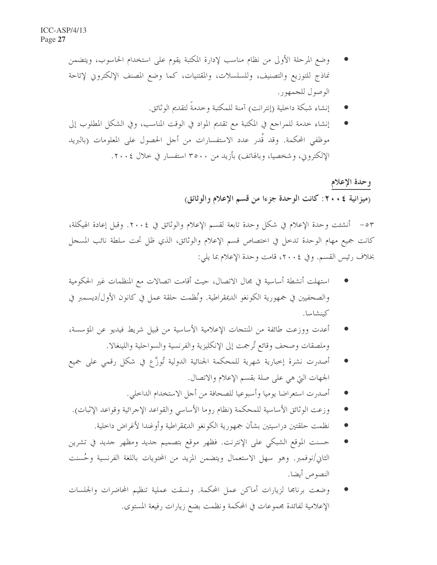- وضع المرحلة الأولى من نظام مناسب لإدارة المكتبة يقوم على استخدام الحاسوب، ويتضمن نماذج للتوزيع والتصنيف، وللسلسلات، والمقتنيات، كما وضع المصنف الإلكتروني لإتاحة الوصول للجمهور .
	- إنشاء شبكة داحلية (إنترانت) آمنة للمكتبة وحدمةً لتقديم الوثائق.
- إنشاء خدمة للمراجع في المكتبة مع تقديم المواد في الوقت المناسب، وفي الشكل المطلوب إلى موظفى المحكمة. وقد قُدر عدد الاستفسارات من أجل الحصول على المعلومات (بالبريد الإلكتروين، وشخصيا، وبالهاتف) بأزيد من ٣٥٠٠ استفسار في خلال ٢٠٠٤.

وحدة الإعلام (ميزانية ٤ . ٢٠ : كانت الوحدة جزءا من قسم الإعلام والوثائق)

٥٣ – أنشئت وحدة الإعلام في شكل وحدة تابعة لقسم الإعلام والوثائق في ٢٠٠٤. وقبل إعادة الهيكلة، كانت جميع مهام الوحدة تدحل في اختصاص قسم الإعلام والوثائق، الذي ظل تحت سلطة نائب المسجل بخلاف رئيس القسم. وفي ٢٠٠٤، قامت وحدة الإعلام بما يلي:

- استهلت أنشطة أساسية في مجال الاتصال، حيث أقامت اتصالات مع المنظمات غير الحكومية والصحفيين في جمهورية الكونغو الديمقراطية. ونُظمت حلقة عملٍ في كانون الأول/ديسمبر في كينشاسا.
- أعدت ووزعت طائفة من المنتجات الإعلامية الأساسية من قبيل شريط فيديو عن المؤسسة، وملصقات وصحف وقائع تُرجمت إلى الإنكليزية والفرنسية والسواحلية واللينغالا.
- أصدرت نشرة إحبارية شهرية للمحكمة الجنائية الدولية تُوزَّع في شكل رقمي على جميع الجهات التي هي على صلة بقسم الإعلام والاتصال.
	- أصدرت استعراضا يوميا وأسبوعيا للصحافة من أجل الاستخدام الداخلي.
- وزعت الوثائق الأساسية للمحكمة (نظام روما الأساسي والقواعد الإجرائية وقواعد الإثبات).
	- نظمت حلقتين دراسيتين بشأن جمهورية الكونغو الديمقراطية وأوغندا لأغراض داحلية.
- حسنت الموقع الشبكي على الإنترنت. فظهر موقع بتصميم جديد ومظهر جديد في تشرين الثاني/نوفمبر. وهو سهل الاستعمال ويتضمن المزيد من المحتويات باللغة الفرنسية وحُسنت النصوص أيضا.
- وضعت برنامجا لزيارات أماكن عمل المحكمة. ونسقت عملية تنظيم المحاضرات والجلسات الإعلامية لفائدة مجموعات في المحكمة ونظمت بضع زيارات رفيعة المستوى.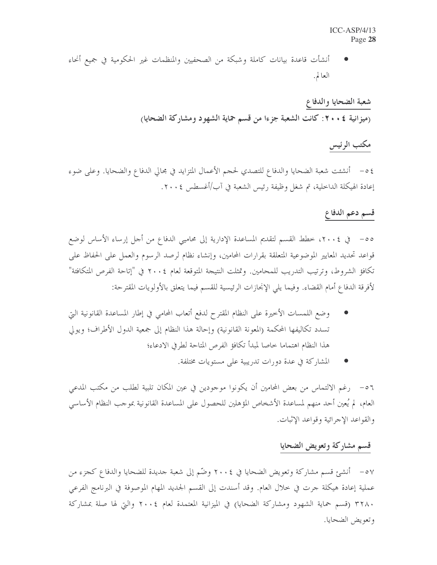#### $ICC-ASP/4/13$ Page 28

أنشأت قاعدة بيانات كاملة وشبكة من الصحفيين والمنظمات غير الحكومية في جميع أنحاء العالم.

> شعبة الضحايا والدفاع (ميزانية ٢٠٠٤: كانت الشعبة جزءا من قسم حماية الشهود ومشاركة الضحايا)

### مكتب الرئيس

٤٥- أنشئت شعبة الضحايا والدفاع للتصدي لحجم الأعمال المتزايد في مجالي الدفاع والضحايا. وعلى ضوء إعادة الهيكلة الداخلية، تم شغل وظيفة رئيس الشعبة في آب/أغسطس ٢٠٠٤.

#### قسم دعم الدفاع

قواعد تحديد المعايير الموضوعية المتعلقة بقرارات المحامين، وإنشاء نظام لرصد الرسوم والعمل على الحفاظ على تكافؤ الشروط، وترتيب التدريب للمحامين. وتمثلت النتيجة المتوقعة لعام ٢٠٠٤ في "إتاحة الفرص المتكافئة" لأفرقة الدفاع أمام القضاء. وفيما يلي الإنحازات الرئيسية للقسم فيما يتعلق بالأولويات المقترحة:

- وضع اللمسات الأخيرة على النظام المقترح لدفع أتعاب المحامي في إطار المساعدة القانونية التي تسدد تكاليفها المحكمة (المعونة القانونية) وإحالة هذا النظام إلى جمعية الدول الأطراف؛ ويولى هذا النظام اهتماما خاصا لمبدأ تكافؤ الفرص المتاحة لطرفي الادعاء؛
	- المشاركة في عدة دورات تدريبية على مستويات مختلفة.

٥٦ – رغم الالتماس من بعض المحامين أن يكونوا موحودين في عين المكان تلبية لطلب من مكتب المدعى العام، لم يُعين أحد منهم لمساعدة الأشخاص المؤهلين للحصول على المساعدة القانونية بموجب النظام الأساسي والقواعد الإجرائية وقواعد الإثبات.

#### قسم مشاركة وتعويض الضحايا

٥٧ – أنشئ قسم مشاركة وتعويض الضحايا في ٢٠٠٤ وضّم إلى شعبة حديدة للضحايا والدفاع كجزء من عملية إعادة هيكلة جرت في خلال العام. وقد أسندت إلى القسم الجديد المهام الموصوفة في البرنامج الفرعي ٣٢٨٠ (قسم حماية الشهود ومشاركة الضحايا) في الميزانية المعتمدة لعام ٢٠٠٤ والتي لها صلة بمشاركة وتعويض الضحايا.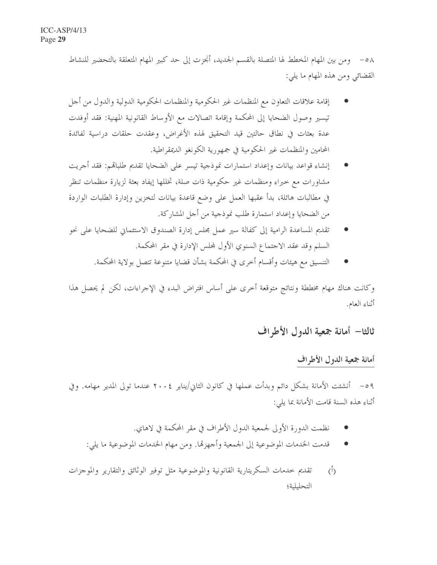٥٨ – ومن بين المهام المخطط لها المتصلة بالقسم الجديد، أُنجزت إلى حد كبير المهام المتعلقة بالتحضير للنشاط القضائي ومن هذه المهام ما يلي:

- إقامة علاقات التعاون مع المنظمات غير الحكومية والمنظمات الحكومية الدولية والدول من أجل تيسير وصول الضحايا إلى المحكمة وإقامة اتصالات مع الأوساط القانونية المهنية: فقد أوفدت عدة بعثات في نطاق حالتين قيد التحقيق لهذه الأغراض، وعقدت حلقات دراسية لفائدة المحامين والمنظمات غير الحكومية في جمهورية الكونغو الديمقراطية.
- إنشاء قواعد بيانات وإعداد استمارات نموذجية تيسر على الضحايا تقديم طلباقم: فقد أجريت مشاورات مع خبراء ومنظمات غير حكومية ذات صلة، تخللها إيفاد بعثة لزيارة منظمات تنظر في مطالبات هائلة، بدأ عقبها العمل على وضع قاعدة بيانات لتخزين وإدارة الطلبات الواردة من الضحايا وإعداد استمارة طلب نموذجية من أجل المشاركة.
- تقديم المساعدة الرامية إلى كفالة سير عمل مجلس إدارة الصندوق الاستئماني للضحايا على نحو السلم وقد عقد الاحتماع السنوي الأول لمحلس الإدارة في مقر المحكمة.
	- التنسيق مع هيئات وأقسام أحرى في المحكمة بشأن قضايا متنوعة تتصل بولاية المحكمة.

وكانت هناك مهام مخططة ونتائج متوقعة أخرى على أساس افتراض البدء في الإجراءات، لكن لم يحصل هذا أثناء العام.

ثالثا— أمانة جمعية الدول الأطراف

#### أمانة جمعية الدول الأطراف

٥٩ – أنشئت الأمانة بشكل دائم وبدأت عملها في كانون الثاني/يناير ٢٠٠٤ عندما تولى المدير مهامه. وفي أثناء هذه السنة قامت الأمانة بما يلي:

- نظمت الدورة الأولى لجمعية الدول الأطراف في مقر المحكمة في لاهاي.
- قدمت الخدمات الموضوعية إلى الجمعية وأجهزها. ومن مهام الخدمات الموضوعية ما يلي:
- تقديم حدمات السكريتارية القانونية والموضوعية مثل توفير الوثائق والتقارير والموجزات  $(1)$ التحليلية؛